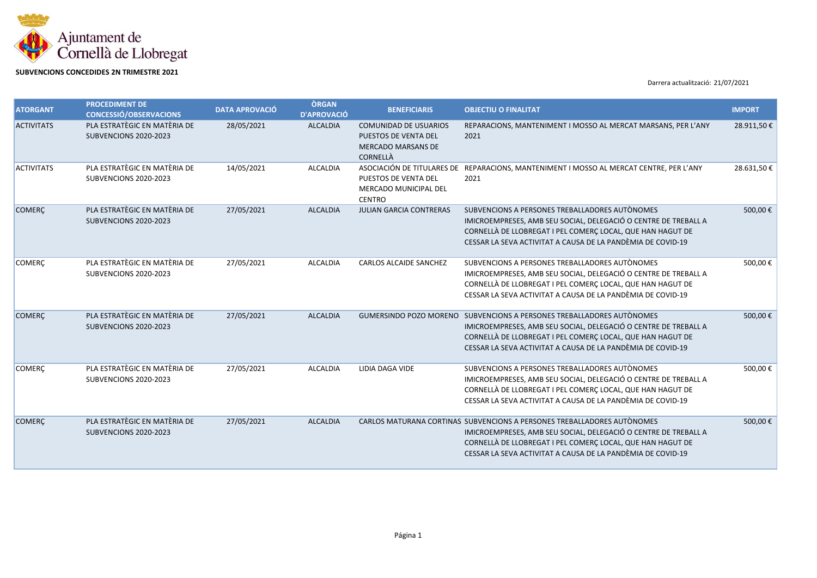

## **SUBVENCIONS CONCEDIDES 2N TRIMESTRE 2021**

Darrera actualització: 21/07/2021

| <b>ATORGANT</b>   | <b>PROCEDIMENT DE</b><br><b>CONCESSIÓ/OBSERVACIONS</b> | <b>DATA APROVACIÓ</b> | <b>ÒRGAN</b><br><b>D'APROVACIÓ</b> | <b>BENEFICIARIS</b>                                                                                  | <b>OBJECTIU O FINALITAT</b>                                                                                                                                                                                                                                             | <b>IMPORT</b> |
|-------------------|--------------------------------------------------------|-----------------------|------------------------------------|------------------------------------------------------------------------------------------------------|-------------------------------------------------------------------------------------------------------------------------------------------------------------------------------------------------------------------------------------------------------------------------|---------------|
| <b>ACTIVITATS</b> | PLA ESTRATÈGIC EN MATÈRIA DE<br>SUBVENCIONS 2020-2023  | 28/05/2021            | <b>ALCALDIA</b>                    | <b>COMUNIDAD DE USUARIOS</b><br>PUESTOS DE VENTA DEL<br><b>MERCADO MARSANS DE</b><br><b>CORNELLÀ</b> | REPARACIONS, MANTENIMENT I MOSSO AL MERCAT MARSANS, PER L'ANY<br>2021                                                                                                                                                                                                   | 28.911,50€    |
| <b>ACTIVITATS</b> | PLA ESTRATÈGIC EN MATÈRIA DE<br>SUBVENCIONS 2020-2023  | 14/05/2021            | <b>ALCALDIA</b>                    | PUESTOS DE VENTA DEL<br>MERCADO MUNICIPAL DEL<br><b>CENTRO</b>                                       | ASOCIACIÓN DE TITULARES DE REPARACIONS, MANTENIMENT I MOSSO AL MERCAT CENTRE, PER L'ANY<br>2021                                                                                                                                                                         | 28.631,50€    |
| <b>COMERÇ</b>     | PLA ESTRATÈGIC EN MATÈRIA DE<br>SUBVENCIONS 2020-2023  | 27/05/2021            | <b>ALCALDIA</b>                    | <b>JULIAN GARCIA CONTRERAS</b>                                                                       | SUBVENCIONS A PERSONES TREBALLADORES AUTÒNOMES<br>IMICROEMPRESES, AMB SEU SOCIAL, DELEGACIÓ O CENTRE DE TREBALL A<br>CORNELLÀ DE LLOBREGAT I PEL COMERÇ LOCAL, QUE HAN HAGUT DE<br>CESSAR LA SEVA ACTIVITAT A CAUSA DE LA PANDÈMIA DE COVID-19                          | 500,00€       |
| <b>COMERC</b>     | PLA ESTRATÈGIC EN MATÈRIA DE<br>SUBVENCIONS 2020-2023  | 27/05/2021            | <b>ALCALDIA</b>                    | <b>CARLOS ALCAIDE SANCHEZ</b>                                                                        | SUBVENCIONS A PERSONES TREBALLADORES AUTÒNOMES<br>IMICROEMPRESES, AMB SEU SOCIAL, DELEGACIÓ O CENTRE DE TREBALL A<br>CORNELLÀ DE LLOBREGAT I PEL COMERÇ LOCAL, QUE HAN HAGUT DE<br>CESSAR LA SEVA ACTIVITAT A CAUSA DE LA PANDÈMIA DE COVID-19                          | 500,00€       |
| <b>COMERC</b>     | PLA ESTRATÈGIC EN MATÈRIA DE<br>SUBVENCIONS 2020-2023  | 27/05/2021            | <b>ALCALDIA</b>                    |                                                                                                      | GUMERSINDO POZO MORENO SUBVENCIONS A PERSONES TREBALLADORES AUTÒNOMES<br>IMICROEMPRESES, AMB SEU SOCIAL, DELEGACIÓ O CENTRE DE TREBALL A<br>CORNELLÀ DE LLOBREGAT I PEL COMERÇ LOCAL, QUE HAN HAGUT DE<br>CESSAR LA SEVA ACTIVITAT A CAUSA DE LA PANDÈMIA DE COVID-19   | 500,00€       |
| <b>COMERC</b>     | PLA ESTRATÈGIC EN MATÈRIA DE<br>SUBVENCIONS 2020-2023  | 27/05/2021            | <b>ALCALDIA</b>                    | LIDIA DAGA VIDE                                                                                      | SUBVENCIONS A PERSONES TREBALLADORES AUTÒNOMES<br>IMICROEMPRESES, AMB SEU SOCIAL, DELEGACIÓ O CENTRE DE TREBALL A<br>CORNELLÀ DE LLOBREGAT I PEL COMERÇ LOCAL, QUE HAN HAGUT DE<br>CESSAR LA SEVA ACTIVITAT A CAUSA DE LA PANDÈMIA DE COVID-19                          | 500,00€       |
| <b>COMERÇ</b>     | PLA ESTRATÈGIC EN MATÈRIA DE<br>SUBVENCIONS 2020-2023  | 27/05/2021            | <b>ALCALDIA</b>                    |                                                                                                      | CARLOS MATURANA CORTINAS SUBVENCIONS A PERSONES TREBALLADORES AUTÒNOMES<br>IMICROEMPRESES, AMB SEU SOCIAL, DELEGACIÓ O CENTRE DE TREBALL A<br>CORNELLÀ DE LLOBREGAT I PEL COMERÇ LOCAL, QUE HAN HAGUT DE<br>CESSAR LA SEVA ACTIVITAT A CAUSA DE LA PANDÈMIA DE COVID-19 | 500,00€       |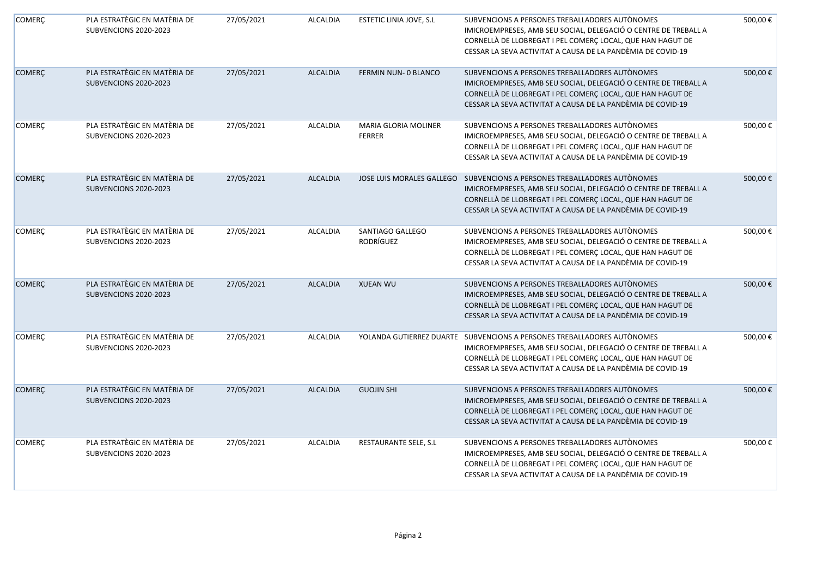| <b>COMERÇ</b> | PLA ESTRATÈGIC EN MATÈRIA DE<br>SUBVENCIONS 2020-2023 | 27/05/2021 | <b>ALCALDIA</b> | ESTETIC LINIA JOVE, S.L               | SUBVENCIONS A PERSONES TREBALLADORES AUTÒNOMES<br>IMICROEMPRESES, AMB SEU SOCIAL, DELEGACIÓ O CENTRE DE TREBALL A<br>CORNELLÀ DE LLOBREGAT I PEL COMERÇ LOCAL, QUE HAN HAGUT DE<br>CESSAR LA SEVA ACTIVITAT A CAUSA DE LA PANDÈMIA DE COVID-19                          | 500,00€ |
|---------------|-------------------------------------------------------|------------|-----------------|---------------------------------------|-------------------------------------------------------------------------------------------------------------------------------------------------------------------------------------------------------------------------------------------------------------------------|---------|
| <b>COMERÇ</b> | PLA ESTRATÈGIC EN MATÈRIA DE<br>SUBVENCIONS 2020-2023 | 27/05/2021 | <b>ALCALDIA</b> | FERMIN NUN- 0 BLANCO                  | SUBVENCIONS A PERSONES TREBALLADORES AUTÒNOMES<br>IMICROEMPRESES, AMB SEU SOCIAL, DELEGACIÓ O CENTRE DE TREBALL A<br>CORNELLÀ DE LLOBREGAT I PEL COMERÇ LOCAL, QUE HAN HAGUT DE<br>CESSAR LA SEVA ACTIVITAT A CAUSA DE LA PANDÈMIA DE COVID-19                          | 500,00€ |
| COMERÇ        | PLA ESTRATÈGIC EN MATÈRIA DE<br>SUBVENCIONS 2020-2023 | 27/05/2021 | <b>ALCALDIA</b> | MARIA GLORIA MOLINER<br><b>FERRER</b> | SUBVENCIONS A PERSONES TREBALLADORES AUTÒNOMES<br>IMICROEMPRESES, AMB SEU SOCIAL, DELEGACIÓ O CENTRE DE TREBALL A<br>CORNELLÀ DE LLOBREGAT I PEL COMERÇ LOCAL, QUE HAN HAGUT DE<br>CESSAR LA SEVA ACTIVITAT A CAUSA DE LA PANDÈMIA DE COVID-19                          | 500,00€ |
| <b>COMERÇ</b> | PLA ESTRATÈGIC EN MATÈRIA DE<br>SUBVENCIONS 2020-2023 | 27/05/2021 | <b>ALCALDIA</b> | JOSE LUIS MORALES GALLEGO             | SUBVENCIONS A PERSONES TREBALLADORES AUTÒNOMES<br>IMICROEMPRESES, AMB SEU SOCIAL, DELEGACIÓ O CENTRE DE TREBALL A<br>CORNELLÀ DE LLOBREGAT I PEL COMERÇ LOCAL, QUE HAN HAGUT DE<br>CESSAR LA SEVA ACTIVITAT A CAUSA DE LA PANDÈMIA DE COVID-19                          | 500,00€ |
| <b>COMERÇ</b> | PLA ESTRATÈGIC EN MATÈRIA DE<br>SUBVENCIONS 2020-2023 | 27/05/2021 | <b>ALCALDIA</b> | SANTIAGO GALLEGO<br>RODRÍGUEZ         | SUBVENCIONS A PERSONES TREBALLADORES AUTÒNOMES<br>IMICROEMPRESES, AMB SEU SOCIAL, DELEGACIÓ O CENTRE DE TREBALL A<br>CORNELLÀ DE LLOBREGAT I PEL COMERÇ LOCAL, QUE HAN HAGUT DE<br>CESSAR LA SEVA ACTIVITAT A CAUSA DE LA PANDÈMIA DE COVID-19                          | 500,00€ |
| <b>COMERC</b> | PLA ESTRATÈGIC EN MATÈRIA DE<br>SUBVENCIONS 2020-2023 | 27/05/2021 | <b>ALCALDIA</b> | <b>XUEAN WU</b>                       | SUBVENCIONS A PERSONES TREBALLADORES AUTONOMES<br>IMICROEMPRESES, AMB SEU SOCIAL, DELEGACIÓ O CENTRE DE TREBALL A<br>CORNELLÀ DE LLOBREGAT I PEL COMERÇ LOCAL, QUE HAN HAGUT DE<br>CESSAR LA SEVA ACTIVITAT A CAUSA DE LA PANDÈMIA DE COVID-19                          | 500,00€ |
| COMERÇ        | PLA ESTRATÈGIC EN MATÈRIA DE<br>SUBVENCIONS 2020-2023 | 27/05/2021 | <b>ALCALDIA</b> |                                       | YOLANDA GUTIERREZ DUARTE SUBVENCIONS A PERSONES TREBALLADORES AUTÒNOMES<br>IMICROEMPRESES, AMB SEU SOCIAL, DELEGACIÓ O CENTRE DE TREBALL A<br>CORNELLÀ DE LLOBREGAT I PEL COMERÇ LOCAL, QUE HAN HAGUT DE<br>CESSAR LA SEVA ACTIVITAT A CAUSA DE LA PANDÈMIA DE COVID-19 | 500,00€ |
| <b>COMERÇ</b> | PLA ESTRATÈGIC EN MATÈRIA DE<br>SUBVENCIONS 2020-2023 | 27/05/2021 | <b>ALCALDIA</b> | <b>GUOJIN SHI</b>                     | SUBVENCIONS A PERSONES TREBALLADORES AUTÒNOMES<br>IMICROEMPRESES, AMB SEU SOCIAL, DELEGACIÓ O CENTRE DE TREBALL A<br>CORNELLÀ DE LLOBREGAT I PEL COMERÇ LOCAL, QUE HAN HAGUT DE<br>CESSAR LA SEVA ACTIVITAT A CAUSA DE LA PANDÈMIA DE COVID-19                          | 500,00€ |
| COMERÇ        | PLA ESTRATÈGIC EN MATÈRIA DE<br>SUBVENCIONS 2020-2023 | 27/05/2021 | <b>ALCALDIA</b> | RESTAURANTE SELE, S.L                 | SUBVENCIONS A PERSONES TREBALLADORES AUTÒNOMES<br>IMICROEMPRESES, AMB SEU SOCIAL, DELEGACIÓ O CENTRE DE TREBALL A<br>CORNELLÀ DE LLOBREGAT I PEL COMERC LOCAL, QUE HAN HAGUT DE<br>CESSAR LA SEVA ACTIVITAT A CAUSA DE LA PANDÈMIA DE COVID-19                          | 500,00€ |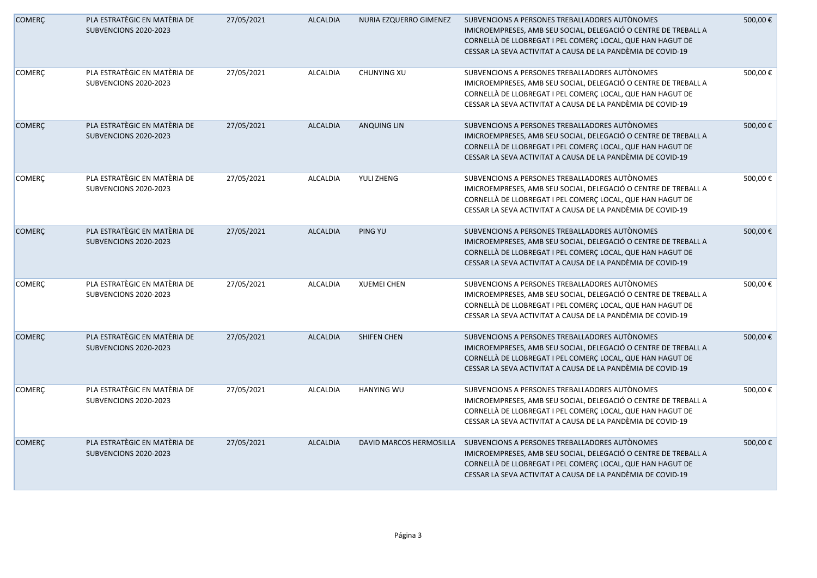| <b>COMERÇ</b> | PLA ESTRATÈGIC EN MATÈRIA DE<br>SUBVENCIONS 2020-2023 | 27/05/2021 | <b>ALCALDIA</b> | NURIA EZQUERRO GIMENEZ         | SUBVENCIONS A PERSONES TREBALLADORES AUTÒNOMES<br>IMICROEMPRESES, AMB SEU SOCIAL, DELEGACIÓ O CENTRE DE TREBALL A<br>CORNELLÀ DE LLOBREGAT I PEL COMERÇ LOCAL, QUE HAN HAGUT DE<br>CESSAR LA SEVA ACTIVITAT A CAUSA DE LA PANDÈMIA DE COVID-19 | 500,00€ |
|---------------|-------------------------------------------------------|------------|-----------------|--------------------------------|------------------------------------------------------------------------------------------------------------------------------------------------------------------------------------------------------------------------------------------------|---------|
| <b>COMERÇ</b> | PLA ESTRATÈGIC EN MATÈRIA DE<br>SUBVENCIONS 2020-2023 | 27/05/2021 | <b>ALCALDIA</b> | CHUNYING XU                    | SUBVENCIONS A PERSONES TREBALLADORES AUTÒNOMES<br>IMICROEMPRESES, AMB SEU SOCIAL, DELEGACIÓ O CENTRE DE TREBALL A<br>CORNELLÀ DE LLOBREGAT I PEL COMERÇ LOCAL, QUE HAN HAGUT DE<br>CESSAR LA SEVA ACTIVITAT A CAUSA DE LA PANDÈMIA DE COVID-19 | 500,00€ |
| <b>COMERÇ</b> | PLA ESTRATÈGIC EN MATÈRIA DE<br>SUBVENCIONS 2020-2023 | 27/05/2021 | <b>ALCALDIA</b> | <b>ANQUING LIN</b>             | SUBVENCIONS A PERSONES TREBALLADORES AUTÒNOMES<br>IMICROEMPRESES, AMB SEU SOCIAL, DELEGACIÓ O CENTRE DE TREBALL A<br>CORNELLÀ DE LLOBREGAT I PEL COMERÇ LOCAL, QUE HAN HAGUT DE<br>CESSAR LA SEVA ACTIVITAT A CAUSA DE LA PANDÈMIA DE COVID-19 | 500,00€ |
| <b>COMERÇ</b> | PLA ESTRATÈGIC EN MATÈRIA DE<br>SUBVENCIONS 2020-2023 | 27/05/2021 | <b>ALCALDIA</b> | YULI ZHENG                     | SUBVENCIONS A PERSONES TREBALLADORES AUTÒNOMES<br>IMICROEMPRESES, AMB SEU SOCIAL, DELEGACIÓ O CENTRE DE TREBALL A<br>CORNELLÀ DE LLOBREGAT I PEL COMERÇ LOCAL, QUE HAN HAGUT DE<br>CESSAR LA SEVA ACTIVITAT A CAUSA DE LA PANDÈMIA DE COVID-19 | 500,00€ |
| <b>COMERÇ</b> | PLA ESTRATÈGIC EN MATÈRIA DE<br>SUBVENCIONS 2020-2023 | 27/05/2021 | <b>ALCALDIA</b> | PING YU                        | SUBVENCIONS A PERSONES TREBALLADORES AUTÒNOMES<br>IMICROEMPRESES, AMB SEU SOCIAL, DELEGACIÓ O CENTRE DE TREBALL A<br>CORNELLÀ DE LLOBREGAT I PEL COMERÇ LOCAL, QUE HAN HAGUT DE<br>CESSAR LA SEVA ACTIVITAT A CAUSA DE LA PANDÈMIA DE COVID-19 | 500,00€ |
| COMERÇ        | PLA ESTRATÈGIC EN MATÈRIA DE<br>SUBVENCIONS 2020-2023 | 27/05/2021 | <b>ALCALDIA</b> | <b>XUEMEI CHEN</b>             | SUBVENCIONS A PERSONES TREBALLADORES AUTONOMES<br>IMICROEMPRESES, AMB SEU SOCIAL, DELEGACIÓ O CENTRE DE TREBALL A<br>CORNELLÀ DE LLOBREGAT I PEL COMERÇ LOCAL, QUE HAN HAGUT DE<br>CESSAR LA SEVA ACTIVITAT A CAUSA DE LA PANDÈMIA DE COVID-19 | 500,00€ |
| <b>COMERÇ</b> | PLA ESTRATÈGIC EN MATÈRIA DE<br>SUBVENCIONS 2020-2023 | 27/05/2021 | <b>ALCALDIA</b> | SHIFEN CHEN                    | SUBVENCIONS A PERSONES TREBALLADORES AUTÒNOMES<br>IMICROEMPRESES, AMB SEU SOCIAL, DELEGACIÓ O CENTRE DE TREBALL A<br>CORNELLÀ DE LLOBREGAT I PEL COMERÇ LOCAL, QUE HAN HAGUT DE<br>CESSAR LA SEVA ACTIVITAT A CAUSA DE LA PANDÈMIA DE COVID-19 | 500,00€ |
| <b>COMERÇ</b> | PLA ESTRATÈGIC EN MATÈRIA DE<br>SUBVENCIONS 2020-2023 | 27/05/2021 | <b>ALCALDIA</b> | <b>HANYING WU</b>              | SUBVENCIONS A PERSONES TREBALLADORES AUTÒNOMES<br>IMICROEMPRESES, AMB SEU SOCIAL, DELEGACIÓ O CENTRE DE TREBALL A<br>CORNELLÀ DE LLOBREGAT I PEL COMERÇ LOCAL, QUE HAN HAGUT DE<br>CESSAR LA SEVA ACTIVITAT A CAUSA DE LA PANDÈMIA DE COVID-19 | 500,00€ |
| <b>COMERÇ</b> | PLA ESTRATÈGIC EN MATÈRIA DE<br>SUBVENCIONS 2020-2023 | 27/05/2021 | <b>ALCALDIA</b> | <b>DAVID MARCOS HERMOSILLA</b> | SUBVENCIONS A PERSONES TREBALLADORES AUTÒNOMES<br>IMICROEMPRESES, AMB SEU SOCIAL, DELEGACIÓ O CENTRE DE TREBALL A<br>CORNELLÀ DE LLOBREGAT I PEL COMERÇ LOCAL, QUE HAN HAGUT DE<br>CESSAR LA SEVA ACTIVITAT A CAUSA DE LA PANDÈMIA DE COVID-19 | 500,00€ |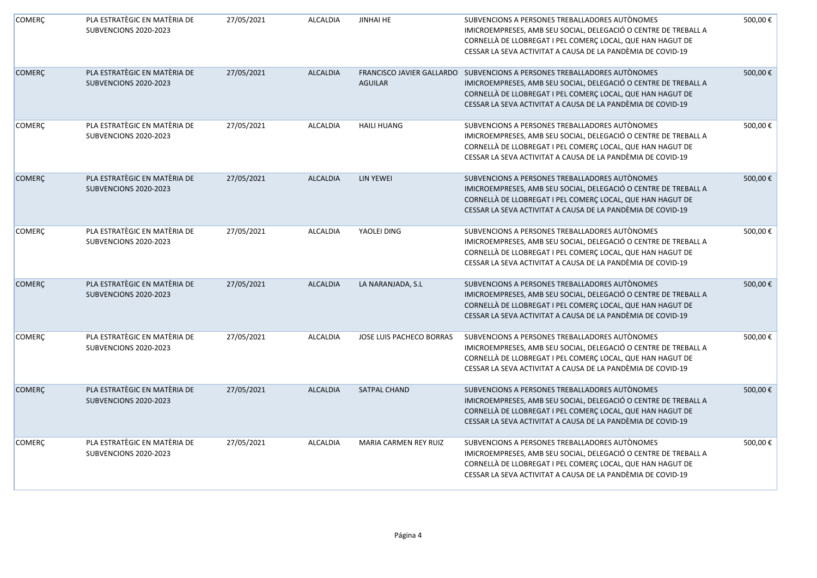| <b>COMERÇ</b> | PLA ESTRATÈGIC EN MATÈRIA DE<br>SUBVENCIONS 2020-2023 | 27/05/2021 | <b>ALCALDIA</b> | <b>JINHAI HE</b>         | SUBVENCIONS A PERSONES TREBALLADORES AUTÒNOMES<br>IMICROEMPRESES, AMB SEU SOCIAL, DELEGACIÓ O CENTRE DE TREBALL A<br>CORNELLÀ DE LLOBREGAT I PEL COMERÇ LOCAL, QUE HAN HAGUT DE<br>CESSAR LA SEVA ACTIVITAT A CAUSA DE LA PANDÈMIA DE COVID-19                           | 500,00€ |
|---------------|-------------------------------------------------------|------------|-----------------|--------------------------|--------------------------------------------------------------------------------------------------------------------------------------------------------------------------------------------------------------------------------------------------------------------------|---------|
| <b>COMERÇ</b> | PLA ESTRATÈGIC EN MATÈRIA DE<br>SUBVENCIONS 2020-2023 | 27/05/2021 | <b>ALCALDIA</b> | <b>AGUILAR</b>           | FRANCISCO JAVIER GALLARDO SUBVENCIONS A PERSONES TREBALLADORES AUTÒNOMES<br>IMICROEMPRESES, AMB SEU SOCIAL, DELEGACIÓ O CENTRE DE TREBALL A<br>CORNELLÀ DE LLOBREGAT I PEL COMERÇ LOCAL, QUE HAN HAGUT DE<br>CESSAR LA SEVA ACTIVITAT A CAUSA DE LA PANDÈMIA DE COVID-19 | 500,00€ |
| <b>COMERÇ</b> | PLA ESTRATÈGIC EN MATÈRIA DE<br>SUBVENCIONS 2020-2023 | 27/05/2021 | <b>ALCALDIA</b> | <b>HAILI HUANG</b>       | SUBVENCIONS A PERSONES TREBALLADORES AUTÒNOMES<br>IMICROEMPRESES, AMB SEU SOCIAL, DELEGACIÓ O CENTRE DE TREBALL A<br>CORNELLÀ DE LLOBREGAT I PEL COMERÇ LOCAL, QUE HAN HAGUT DE<br>CESSAR LA SEVA ACTIVITAT A CAUSA DE LA PANDÈMIA DE COVID-19                           | 500,00€ |
| <b>COMERÇ</b> | PLA ESTRATÈGIC EN MATÈRIA DE<br>SUBVENCIONS 2020-2023 | 27/05/2021 | <b>ALCALDIA</b> | <b>LIN YEWEI</b>         | SUBVENCIONS A PERSONES TREBALLADORES AUTÒNOMES<br>IMICROEMPRESES, AMB SEU SOCIAL, DELEGACIÓ O CENTRE DE TREBALL A<br>CORNELLÀ DE LLOBREGAT I PEL COMERÇ LOCAL, QUE HAN HAGUT DE<br>CESSAR LA SEVA ACTIVITAT A CAUSA DE LA PANDÈMIA DE COVID-19                           | 500,00€ |
| <b>COMERÇ</b> | PLA ESTRATÈGIC EN MATÈRIA DE<br>SUBVENCIONS 2020-2023 | 27/05/2021 | <b>ALCALDIA</b> | YAOLEI DING              | SUBVENCIONS A PERSONES TREBALLADORES AUTÒNOMES<br>IMICROEMPRESES, AMB SEU SOCIAL, DELEGACIÓ O CENTRE DE TREBALL A<br>CORNELLÀ DE LLOBREGAT I PEL COMERÇ LOCAL, QUE HAN HAGUT DE<br>CESSAR LA SEVA ACTIVITAT A CAUSA DE LA PANDÈMIA DE COVID-19                           | 500,00€ |
| <b>COMERÇ</b> | PLA ESTRATÈGIC EN MATÈRIA DE<br>SUBVENCIONS 2020-2023 | 27/05/2021 | <b>ALCALDIA</b> | LA NARANJADA, S.L        | SUBVENCIONS A PERSONES TREBALLADORES AUTÒNOMES<br>IMICROEMPRESES, AMB SEU SOCIAL, DELEGACIÓ O CENTRE DE TREBALL A<br>CORNELLÀ DE LLOBREGAT I PEL COMERÇ LOCAL, QUE HAN HAGUT DE<br>CESSAR LA SEVA ACTIVITAT A CAUSA DE LA PANDÈMIA DE COVID-19                           | 500,00€ |
| COMERÇ        | PLA ESTRATÈGIC EN MATÈRIA DE<br>SUBVENCIONS 2020-2023 | 27/05/2021 | <b>ALCALDIA</b> | JOSE LUIS PACHECO BORRAS | SUBVENCIONS A PERSONES TREBALLADORES AUTÒNOMES<br>IMICROEMPRESES, AMB SEU SOCIAL, DELEGACIÓ O CENTRE DE TREBALL A<br>CORNELLÀ DE LLOBREGAT I PEL COMERÇ LOCAL, QUE HAN HAGUT DE<br>CESSAR LA SEVA ACTIVITAT A CAUSA DE LA PANDÈMIA DE COVID-19                           | 500,00€ |
| <b>COMERÇ</b> | PLA ESTRATÈGIC EN MATÈRIA DE<br>SUBVENCIONS 2020-2023 | 27/05/2021 | <b>ALCALDIA</b> | SATPAL CHAND             | SUBVENCIONS A PERSONES TREBALLADORES AUTÒNOMES<br>IMICROEMPRESES, AMB SEU SOCIAL, DELEGACIÓ O CENTRE DE TREBALL A<br>CORNELLÀ DE LLOBREGAT I PEL COMERÇ LOCAL, QUE HAN HAGUT DE<br>CESSAR LA SEVA ACTIVITAT A CAUSA DE LA PANDÈMIA DE COVID-19                           | 500,00€ |
| <b>COMERÇ</b> | PLA ESTRATÈGIC EN MATÈRIA DE<br>SUBVENCIONS 2020-2023 | 27/05/2021 | <b>ALCALDIA</b> | MARIA CARMEN REY RUIZ    | SUBVENCIONS A PERSONES TREBALLADORES AUTONOMES<br>IMICROEMPRESES, AMB SEU SOCIAL, DELEGACIÓ O CENTRE DE TREBALL A<br>CORNELLÀ DE LLOBREGAT I PEL COMERÇ LOCAL, QUE HAN HAGUT DE<br>CESSAR LA SEVA ACTIVITAT A CAUSA DE LA PANDÈMIA DE COVID-19                           | 500,00€ |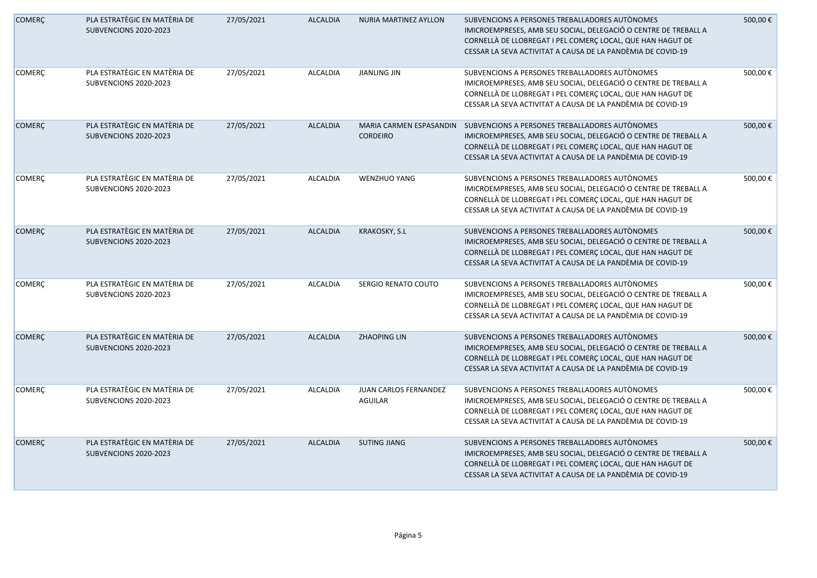| <b>COMERÇ</b> | PLA ESTRATÈGIC EN MATÈRIA DE<br>SUBVENCIONS 2020-2023 | 27/05/2021 | <b>ALCALDIA</b> | <b>NURIA MARTINEZ AYLLON</b>               | SUBVENCIONS A PERSONES TREBALLADORES AUTONOMES<br>IMICROEMPRESES, AMB SEU SOCIAL, DELEGACIÓ O CENTRE DE TREBALL A<br>CORNELLÀ DE LLOBREGAT I PEL COMERÇ LOCAL, QUE HAN HAGUT DE<br>CESSAR LA SEVA ACTIVITAT A CAUSA DE LA PANDÈMIA DE COVID-19 | 500,00€ |
|---------------|-------------------------------------------------------|------------|-----------------|--------------------------------------------|------------------------------------------------------------------------------------------------------------------------------------------------------------------------------------------------------------------------------------------------|---------|
| <b>COMERÇ</b> | PLA ESTRATÈGIC EN MATÈRIA DE<br>SUBVENCIONS 2020-2023 | 27/05/2021 | <b>ALCALDIA</b> | <b>JIANLING JIN</b>                        | SUBVENCIONS A PERSONES TREBALLADORES AUTÒNOMES<br>IMICROEMPRESES, AMB SEU SOCIAL, DELEGACIÓ O CENTRE DE TREBALL A<br>CORNELLÀ DE LLOBREGAT I PEL COMERÇ LOCAL, QUE HAN HAGUT DE<br>CESSAR LA SEVA ACTIVITAT A CAUSA DE LA PANDÈMIA DE COVID-19 | 500,00€ |
| <b>COMERÇ</b> | PLA ESTRATÈGIC EN MATÈRIA DE<br>SUBVENCIONS 2020-2023 | 27/05/2021 | <b>ALCALDIA</b> | MARIA CARMEN ESPASANDIN<br><b>CORDEIRO</b> | SUBVENCIONS A PERSONES TREBALLADORES AUTÒNOMES<br>IMICROEMPRESES, AMB SEU SOCIAL, DELEGACIÓ O CENTRE DE TREBALL A<br>CORNELLÀ DE LLOBREGAT I PEL COMERÇ LOCAL, QUE HAN HAGUT DE<br>CESSAR LA SEVA ACTIVITAT A CAUSA DE LA PANDÈMIA DE COVID-19 | 500,00€ |
| COMERÇ        | PLA ESTRATÈGIC EN MATÈRIA DE<br>SUBVENCIONS 2020-2023 | 27/05/2021 | <b>ALCALDIA</b> | <b>WENZHUO YANG</b>                        | SUBVENCIONS A PERSONES TREBALLADORES AUTÒNOMES<br>IMICROEMPRESES, AMB SEU SOCIAL, DELEGACIÓ O CENTRE DE TREBALL A<br>CORNELLÀ DE LLOBREGAT I PEL COMERÇ LOCAL, QUE HAN HAGUT DE<br>CESSAR LA SEVA ACTIVITAT A CAUSA DE LA PANDÈMIA DE COVID-19 | 500,00€ |
| <b>COMERÇ</b> | PLA ESTRATÈGIC EN MATÈRIA DE<br>SUBVENCIONS 2020-2023 | 27/05/2021 | <b>ALCALDIA</b> | KRAKOSKY, S.L                              | SUBVENCIONS A PERSONES TREBALLADORES AUTÒNOMES<br>IMICROEMPRESES, AMB SEU SOCIAL, DELEGACIÓ O CENTRE DE TREBALL A<br>CORNELLÀ DE LLOBREGAT I PEL COMERÇ LOCAL, QUE HAN HAGUT DE<br>CESSAR LA SEVA ACTIVITAT A CAUSA DE LA PANDÈMIA DE COVID-19 | 500,00€ |
| COMERÇ        | PLA ESTRATÈGIC EN MATÈRIA DE<br>SUBVENCIONS 2020-2023 | 27/05/2021 | <b>ALCALDIA</b> | SERGIO RENATO COUTO                        | SUBVENCIONS A PERSONES TREBALLADORES AUTÒNOMES<br>IMICROEMPRESES, AMB SEU SOCIAL, DELEGACIÓ O CENTRE DE TREBALL A<br>CORNELLÀ DE LLOBREGAT I PEL COMERÇ LOCAL, QUE HAN HAGUT DE<br>CESSAR LA SEVA ACTIVITAT A CAUSA DE LA PANDÈMIA DE COVID-19 | 500,00€ |
| <b>COMERÇ</b> | PLA ESTRATÈGIC EN MATÈRIA DE<br>SUBVENCIONS 2020-2023 | 27/05/2021 | <b>ALCALDIA</b> | <b>ZHAOPING LIN</b>                        | SUBVENCIONS A PERSONES TREBALLADORES AUTONOMES<br>IMICROEMPRESES, AMB SEU SOCIAL, DELEGACIÓ O CENTRE DE TREBALL A<br>CORNELLÀ DE LLOBREGAT I PEL COMERÇ LOCAL, QUE HAN HAGUT DE<br>CESSAR LA SEVA ACTIVITAT A CAUSA DE LA PANDÈMIA DE COVID-19 | 500,00€ |
| <b>COMERÇ</b> | PLA ESTRATÈGIC EN MATÈRIA DE<br>SUBVENCIONS 2020-2023 | 27/05/2021 | <b>ALCALDIA</b> | JUAN CARLOS FERNANDEZ<br>AGUILAR           | SUBVENCIONS A PERSONES TREBALLADORES AUTÒNOMES<br>IMICROEMPRESES, AMB SEU SOCIAL, DELEGACIÓ O CENTRE DE TREBALL A<br>CORNELLÀ DE LLOBREGAT I PEL COMERÇ LOCAL, QUE HAN HAGUT DE<br>CESSAR LA SEVA ACTIVITAT A CAUSA DE LA PANDÈMIA DE COVID-19 | 500,00€ |
| <b>COMERÇ</b> | PLA ESTRATÈGIC EN MATÈRIA DE<br>SUBVENCIONS 2020-2023 | 27/05/2021 | <b>ALCALDIA</b> | <b>SUTING JIANG</b>                        | SUBVENCIONS A PERSONES TREBALLADORES AUTÒNOMES<br>IMICROEMPRESES, AMB SEU SOCIAL, DELEGACIÓ O CENTRE DE TREBALL A<br>CORNELLÀ DE LLOBREGAT I PEL COMERÇ LOCAL, QUE HAN HAGUT DE<br>CESSAR LA SEVA ACTIVITAT A CAUSA DE LA PANDÈMIA DE COVID-19 | 500,00€ |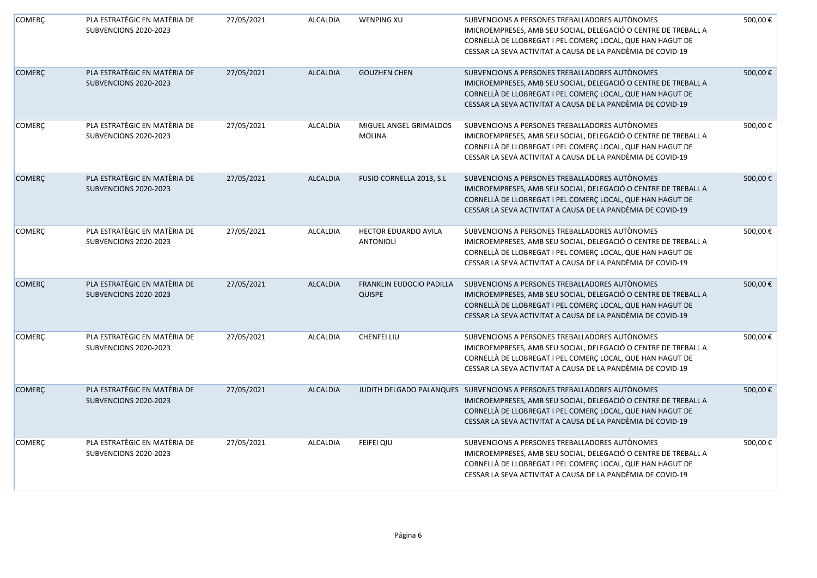| <b>COMERÇ</b> | PLA ESTRATÈGIC EN MATÈRIA DE<br>SUBVENCIONS 2020-2023 | 27/05/2021 | <b>ALCALDIA</b> | <b>WENPING XU</b>                         | SUBVENCIONS A PERSONES TREBALLADORES AUTÒNOMES<br>IMICROEMPRESES, AMB SEU SOCIAL, DELEGACIÓ O CENTRE DE TREBALL A<br>CORNELLÀ DE LLOBREGAT I PEL COMERÇ LOCAL, QUE HAN HAGUT DE<br>CESSAR LA SEVA ACTIVITAT A CAUSA DE LA PANDÈMIA DE COVID-19 | 500,00€ |
|---------------|-------------------------------------------------------|------------|-----------------|-------------------------------------------|------------------------------------------------------------------------------------------------------------------------------------------------------------------------------------------------------------------------------------------------|---------|
| <b>COMERÇ</b> | PLA ESTRATÈGIC EN MATÈRIA DE<br>SUBVENCIONS 2020-2023 | 27/05/2021 | <b>ALCALDIA</b> | <b>GOUZHEN CHEN</b>                       | SUBVENCIONS A PERSONES TREBALLADORES AUTÒNOMES<br>IMICROEMPRESES, AMB SEU SOCIAL, DELEGACIÓ O CENTRE DE TREBALL A<br>CORNELLÀ DE LLOBREGAT I PEL COMERÇ LOCAL, QUE HAN HAGUT DE<br>CESSAR LA SEVA ACTIVITAT A CAUSA DE LA PANDÈMIA DE COVID-19 | 500,00€ |
| <b>COMERÇ</b> | PLA ESTRATÈGIC EN MATÈRIA DE<br>SUBVENCIONS 2020-2023 | 27/05/2021 | ALCALDIA        | MIGUEL ANGEL GRIMALDOS<br><b>MOLINA</b>   | SUBVENCIONS A PERSONES TREBALLADORES AUTÒNOMES<br>IMICROEMPRESES, AMB SEU SOCIAL, DELEGACIÓ O CENTRE DE TREBALL A<br>CORNELLÀ DE LLOBREGAT I PEL COMERÇ LOCAL, QUE HAN HAGUT DE<br>CESSAR LA SEVA ACTIVITAT A CAUSA DE LA PANDÈMIA DE COVID-19 | 500,00€ |
| <b>COMERÇ</b> | PLA ESTRATÈGIC EN MATÈRIA DE<br>SUBVENCIONS 2020-2023 | 27/05/2021 | <b>ALCALDIA</b> | FUSIO CORNELLA 2013, S.L                  | SUBVENCIONS A PERSONES TREBALLADORES AUTÒNOMES<br>IMICROEMPRESES, AMB SEU SOCIAL, DELEGACIÓ O CENTRE DE TREBALL A<br>CORNELLÀ DE LLOBREGAT I PEL COMERÇ LOCAL, QUE HAN HAGUT DE<br>CESSAR LA SEVA ACTIVITAT A CAUSA DE LA PANDÈMIA DE COVID-19 | 500,00€ |
| <b>COMERÇ</b> | PLA ESTRATÈGIC EN MATÈRIA DE<br>SUBVENCIONS 2020-2023 | 27/05/2021 | ALCALDIA        | HECTOR EDUARDO AVILA<br><b>ANTONIOLI</b>  | SUBVENCIONS A PERSONES TREBALLADORES AUTÒNOMES<br>IMICROEMPRESES, AMB SEU SOCIAL, DELEGACIÓ O CENTRE DE TREBALL A<br>CORNELLÀ DE LLOBREGAT I PEL COMERÇ LOCAL, QUE HAN HAGUT DE<br>CESSAR LA SEVA ACTIVITAT A CAUSA DE LA PANDÈMIA DE COVID-19 | 500,00€ |
| <b>COMERÇ</b> | PLA ESTRATÈGIC EN MATÈRIA DE<br>SUBVENCIONS 2020-2023 | 27/05/2021 | <b>ALCALDIA</b> | FRANKLIN EUDOCIO PADILLA<br><b>QUISPE</b> | SUBVENCIONS A PERSONES TREBALLADORES AUTÒNOMES<br>IMICROEMPRESES, AMB SEU SOCIAL, DELEGACIÓ O CENTRE DE TREBALL A<br>CORNELLÀ DE LLOBREGAT I PEL COMERÇ LOCAL, QUE HAN HAGUT DE<br>CESSAR LA SEVA ACTIVITAT A CAUSA DE LA PANDÈMIA DE COVID-19 | 500,00€ |
| COMERÇ        | PLA ESTRATÈGIC EN MATÈRIA DE<br>SUBVENCIONS 2020-2023 | 27/05/2021 | <b>ALCALDIA</b> | <b>CHENFEI LIU</b>                        | SUBVENCIONS A PERSONES TREBALLADORES AUTÒNOMES<br>IMICROEMPRESES, AMB SEU SOCIAL, DELEGACIÓ O CENTRE DE TREBALL A<br>CORNELLÀ DE LLOBREGAT I PEL COMERÇ LOCAL, QUE HAN HAGUT DE<br>CESSAR LA SEVA ACTIVITAT A CAUSA DE LA PANDÈMIA DE COVID-19 | 500,00€ |
| COMERÇ        | PLA ESTRATÈGIC EN MATÈRIA DE<br>SUBVENCIONS 2020-2023 | 27/05/2021 | <b>ALCALDIA</b> | JUDITH DELGADO PALANQUES                  | SUBVENCIONS A PERSONES TREBALLADORES AUTÒNOMES<br>IMICROEMPRESES, AMB SEU SOCIAL, DELEGACIÓ O CENTRE DE TREBALL A<br>CORNELLÀ DE LLOBREGAT I PEL COMERÇ LOCAL, QUE HAN HAGUT DE<br>CESSAR LA SEVA ACTIVITAT A CAUSA DE LA PANDÈMIA DE COVID-19 | 500,00€ |
| <b>COMERÇ</b> | PLA ESTRATÈGIC EN MATÈRIA DE<br>SUBVENCIONS 2020-2023 | 27/05/2021 | <b>ALCALDIA</b> | FEIFEI QIU                                | SUBVENCIONS A PERSONES TREBALLADORES AUTÒNOMES<br>IMICROEMPRESES, AMB SEU SOCIAL, DELEGACIÓ O CENTRE DE TREBALL A<br>CORNELLÀ DE LLOBREGAT I PEL COMERÇ LOCAL, QUE HAN HAGUT DE<br>CESSAR LA SEVA ACTIVITAT A CAUSA DE LA PANDÈMIA DE COVID-19 | 500,00€ |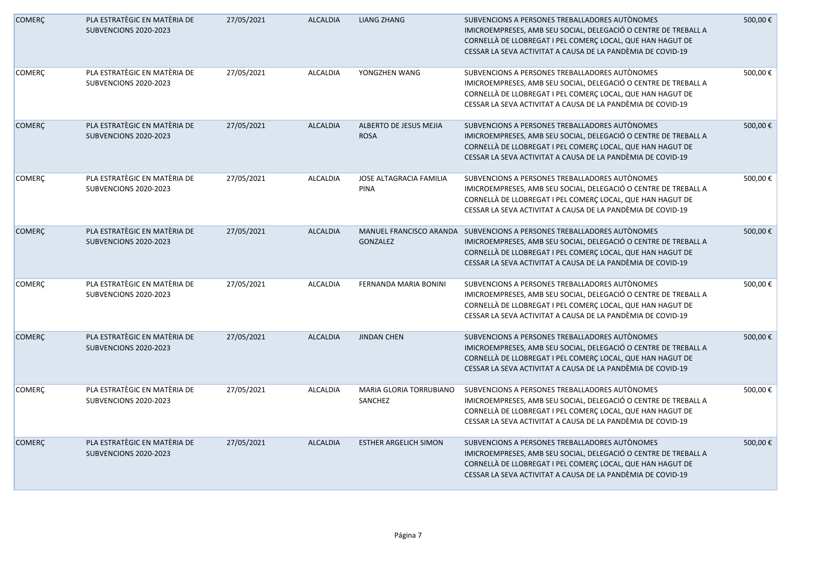| <b>COMERÇ</b> | PLA ESTRATÈGIC EN MATÈRIA DE<br>SUBVENCIONS 2020-2023 | 27/05/2021 | <b>ALCALDIA</b> | <b>LIANG ZHANG</b>                            | SUBVENCIONS A PERSONES TREBALLADORES AUTÒNOMES<br>IMICROEMPRESES, AMB SEU SOCIAL, DELEGACIÓ O CENTRE DE TREBALL A<br>CORNELLÀ DE LLOBREGAT I PEL COMERÇ LOCAL, QUE HAN HAGUT DE<br>CESSAR LA SEVA ACTIVITAT A CAUSA DE LA PANDÈMIA DE COVID-19                         | 500,00€ |
|---------------|-------------------------------------------------------|------------|-----------------|-----------------------------------------------|------------------------------------------------------------------------------------------------------------------------------------------------------------------------------------------------------------------------------------------------------------------------|---------|
| <b>COMERÇ</b> | PLA ESTRATÈGIC EN MATÈRIA DE<br>SUBVENCIONS 2020-2023 | 27/05/2021 | <b>ALCALDIA</b> | YONGZHEN WANG                                 | SUBVENCIONS A PERSONES TREBALLADORES AUTONOMES<br>IMICROEMPRESES, AMB SEU SOCIAL, DELEGACIÓ O CENTRE DE TREBALL A<br>CORNELLÀ DE LLOBREGAT I PEL COMERÇ LOCAL, QUE HAN HAGUT DE<br>CESSAR LA SEVA ACTIVITAT A CAUSA DE LA PANDÈMIA DE COVID-19                         | 500,00€ |
| <b>COMERÇ</b> | PLA ESTRATÈGIC EN MATÈRIA DE<br>SUBVENCIONS 2020-2023 | 27/05/2021 | <b>ALCALDIA</b> | ALBERTO DE JESUS MEJIA<br><b>ROSA</b>         | SUBVENCIONS A PERSONES TREBALLADORES AUTÒNOMES<br>IMICROEMPRESES, AMB SEU SOCIAL, DELEGACIÓ O CENTRE DE TREBALL A<br>CORNELLÀ DE LLOBREGAT I PEL COMERÇ LOCAL, QUE HAN HAGUT DE<br>CESSAR LA SEVA ACTIVITAT A CAUSA DE LA PANDÈMIA DE COVID-19                         | 500,00€ |
| <b>COMERÇ</b> | PLA ESTRATÈGIC EN MATÈRIA DE<br>SUBVENCIONS 2020-2023 | 27/05/2021 | <b>ALCALDIA</b> | <b>JOSE ALTAGRACIA FAMILIA</b><br><b>PINA</b> | SUBVENCIONS A PERSONES TREBALLADORES AUTÒNOMES<br>IMICROEMPRESES, AMB SEU SOCIAL, DELEGACIÓ O CENTRE DE TREBALL A<br>CORNELLÀ DE LLOBREGAT I PEL COMERÇ LOCAL, QUE HAN HAGUT DE<br>CESSAR LA SEVA ACTIVITAT A CAUSA DE LA PANDÈMIA DE COVID-19                         | 500,00€ |
| <b>COMERÇ</b> | PLA ESTRATÈGIC EN MATÈRIA DE<br>SUBVENCIONS 2020-2023 | 27/05/2021 | <b>ALCALDIA</b> | GONZALEZ                                      | MANUEL FRANCISCO ARANDA SUBVENCIONS A PERSONES TREBALLADORES AUTÒNOMES<br>IMICROEMPRESES, AMB SEU SOCIAL, DELEGACIÓ O CENTRE DE TREBALL A<br>CORNELLÀ DE LLOBREGAT I PEL COMERÇ LOCAL, QUE HAN HAGUT DE<br>CESSAR LA SEVA ACTIVITAT A CAUSA DE LA PANDÈMIA DE COVID-19 | 500,00€ |
| COMERÇ        | PLA ESTRATÈGIC EN MATÈRIA DE<br>SUBVENCIONS 2020-2023 | 27/05/2021 | <b>ALCALDIA</b> | FERNANDA MARIA BONINI                         | SUBVENCIONS A PERSONES TREBALLADORES AUTONOMES<br>IMICROEMPRESES, AMB SEU SOCIAL, DELEGACIÓ O CENTRE DE TREBALL A<br>CORNELLÀ DE LLOBREGAT I PEL COMERÇ LOCAL, QUE HAN HAGUT DE<br>CESSAR LA SEVA ACTIVITAT A CAUSA DE LA PANDÈMIA DE COVID-19                         | 500,00€ |
| <b>COMERÇ</b> | PLA ESTRATÈGIC EN MATÈRIA DE<br>SUBVENCIONS 2020-2023 | 27/05/2021 | <b>ALCALDIA</b> | <b>JINDAN CHEN</b>                            | SUBVENCIONS A PERSONES TREBALLADORES AUTÒNOMES<br>IMICROEMPRESES, AMB SEU SOCIAL, DELEGACIÓ O CENTRE DE TREBALL A<br>CORNELLÀ DE LLOBREGAT I PEL COMERÇ LOCAL, QUE HAN HAGUT DE<br>CESSAR LA SEVA ACTIVITAT A CAUSA DE LA PANDÈMIA DE COVID-19                         | 500,00€ |
| <b>COMERÇ</b> | PLA ESTRATÈGIC EN MATÈRIA DE<br>SUBVENCIONS 2020-2023 | 27/05/2021 | <b>ALCALDIA</b> | MARIA GLORIA TORRUBIANO<br>SANCHEZ            | SUBVENCIONS A PERSONES TREBALLADORES AUTÒNOMES<br>IMICROEMPRESES, AMB SEU SOCIAL, DELEGACIÓ O CENTRE DE TREBALL A<br>CORNELLÀ DE LLOBREGAT I PEL COMERÇ LOCAL, QUE HAN HAGUT DE<br>CESSAR LA SEVA ACTIVITAT A CAUSA DE LA PANDÈMIA DE COVID-19                         | 500,00€ |
| <b>COMERÇ</b> | PLA ESTRATÈGIC EN MATÈRIA DE<br>SUBVENCIONS 2020-2023 | 27/05/2021 | <b>ALCALDIA</b> | <b>ESTHER ARGELICH SIMON</b>                  | SUBVENCIONS A PERSONES TREBALLADORES AUTÒNOMES<br>IMICROEMPRESES, AMB SEU SOCIAL, DELEGACIÓ O CENTRE DE TREBALL A<br>CORNELLÀ DE LLOBREGAT I PEL COMERÇ LOCAL, QUE HAN HAGUT DE<br>CESSAR LA SEVA ACTIVITAT A CAUSA DE LA PANDÈMIA DE COVID-19                         | 500,00€ |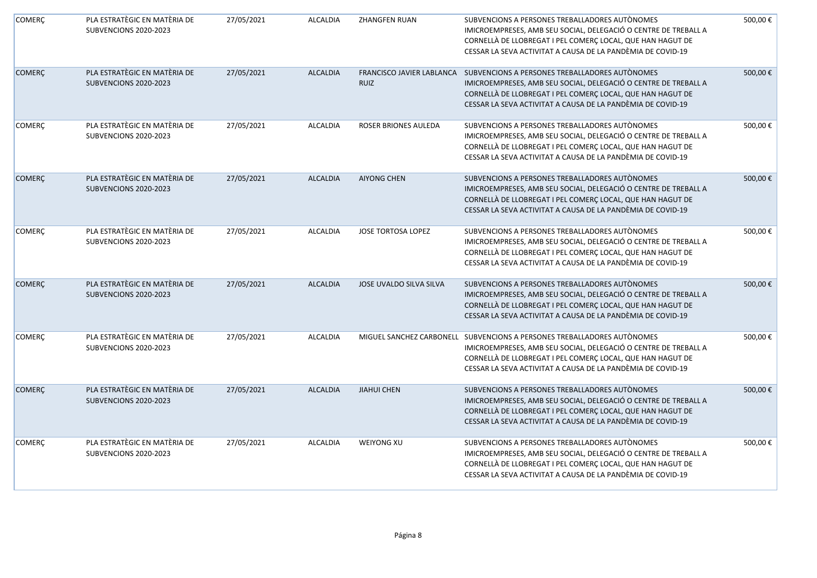| <b>COMERÇ</b> | PLA ESTRATÈGIC EN MATÈRIA DE<br>SUBVENCIONS 2020-2023 | 27/05/2021 | <b>ALCALDIA</b> | <b>ZHANGFEN RUAN</b>      | SUBVENCIONS A PERSONES TREBALLADORES AUTÒNOMES<br>IMICROEMPRESES, AMB SEU SOCIAL, DELEGACIÓ O CENTRE DE TREBALL A<br>CORNELLÀ DE LLOBREGAT I PEL COMERÇ LOCAL, QUE HAN HAGUT DE<br>CESSAR LA SEVA ACTIVITAT A CAUSA DE LA PANDÈMIA DE COVID-19                            | 500,00€ |
|---------------|-------------------------------------------------------|------------|-----------------|---------------------------|---------------------------------------------------------------------------------------------------------------------------------------------------------------------------------------------------------------------------------------------------------------------------|---------|
| <b>COMERÇ</b> | PLA ESTRATÈGIC EN MATÈRIA DE<br>SUBVENCIONS 2020-2023 | 27/05/2021 | <b>ALCALDIA</b> | <b>RUIZ</b>               | FRANCISCO JAVIER LABLANCA  SUBVENCIONS A PERSONES TREBALLADORES AUTÒNOMES<br>IMICROEMPRESES, AMB SEU SOCIAL, DELEGACIÓ O CENTRE DE TREBALL A<br>CORNELLÀ DE LLOBREGAT I PEL COMERÇ LOCAL, QUE HAN HAGUT DE<br>CESSAR LA SEVA ACTIVITAT A CAUSA DE LA PANDÈMIA DE COVID-19 | 500,00€ |
| COMERÇ        | PLA ESTRATÈGIC EN MATÈRIA DE<br>SUBVENCIONS 2020-2023 | 27/05/2021 | <b>ALCALDIA</b> | ROSER BRIONES AULEDA      | SUBVENCIONS A PERSONES TREBALLADORES AUTÒNOMES<br>IMICROEMPRESES, AMB SEU SOCIAL, DELEGACIÓ O CENTRE DE TREBALL A<br>CORNELLÀ DE LLOBREGAT I PEL COMERÇ LOCAL, QUE HAN HAGUT DE<br>CESSAR LA SEVA ACTIVITAT A CAUSA DE LA PANDÈMIA DE COVID-19                            | 500,00€ |
| <b>COMERÇ</b> | PLA ESTRATÈGIC EN MATÈRIA DE<br>SUBVENCIONS 2020-2023 | 27/05/2021 | <b>ALCALDIA</b> | <b>AIYONG CHEN</b>        | SUBVENCIONS A PERSONES TREBALLADORES AUTÒNOMES<br>IMICROEMPRESES, AMB SEU SOCIAL, DELEGACIÓ O CENTRE DE TREBALL A<br>CORNELLÀ DE LLOBREGAT I PEL COMERÇ LOCAL, QUE HAN HAGUT DE<br>CESSAR LA SEVA ACTIVITAT A CAUSA DE LA PANDÈMIA DE COVID-19                            | 500,00€ |
| <b>COMERÇ</b> | PLA ESTRATÈGIC EN MATÈRIA DE<br>SUBVENCIONS 2020-2023 | 27/05/2021 | <b>ALCALDIA</b> | <b>JOSE TORTOSA LOPEZ</b> | SUBVENCIONS A PERSONES TREBALLADORES AUTÒNOMES<br>IMICROEMPRESES, AMB SEU SOCIAL, DELEGACIÓ O CENTRE DE TREBALL A<br>CORNELLÀ DE LLOBREGAT I PEL COMERÇ LOCAL, QUE HAN HAGUT DE<br>CESSAR LA SEVA ACTIVITAT A CAUSA DE LA PANDÈMIA DE COVID-19                            | 500,00€ |
| <b>COMERÇ</b> | PLA ESTRATÈGIC EN MATÈRIA DE<br>SUBVENCIONS 2020-2023 | 27/05/2021 | <b>ALCALDIA</b> | JOSE UVALDO SILVA SILVA   | SUBVENCIONS A PERSONES TREBALLADORES AUTÒNOMES<br>IMICROEMPRESES, AMB SEU SOCIAL, DELEGACIÓ O CENTRE DE TREBALL A<br>CORNELLÀ DE LLOBREGAT I PEL COMERÇ LOCAL, QUE HAN HAGUT DE<br>CESSAR LA SEVA ACTIVITAT A CAUSA DE LA PANDÈMIA DE COVID-19                            | 500,00€ |
| COMERÇ        | PLA ESTRATÈGIC EN MATÈRIA DE<br>SUBVENCIONS 2020-2023 | 27/05/2021 | <b>ALCALDIA</b> | MIGUEL SANCHEZ CARBONELL  | SUBVENCIONS A PERSONES TREBALLADORES AUTÒNOMES<br>IMICROEMPRESES, AMB SEU SOCIAL, DELEGACIÓ O CENTRE DE TREBALL A<br>CORNELLÀ DE LLOBREGAT I PEL COMERÇ LOCAL, QUE HAN HAGUT DE<br>CESSAR LA SEVA ACTIVITAT A CAUSA DE LA PANDÈMIA DE COVID-19                            | 500,00€ |
| <b>COMERÇ</b> | PLA ESTRATÈGIC EN MATÈRIA DE<br>SUBVENCIONS 2020-2023 | 27/05/2021 | <b>ALCALDIA</b> | <b>JIAHUI CHEN</b>        | SUBVENCIONS A PERSONES TREBALLADORES AUTÒNOMES<br>IMICROEMPRESES, AMB SEU SOCIAL, DELEGACIÓ O CENTRE DE TREBALL A<br>CORNELLÀ DE LLOBREGAT I PEL COMERÇ LOCAL, QUE HAN HAGUT DE<br>CESSAR LA SEVA ACTIVITAT A CAUSA DE LA PANDÈMIA DE COVID-19                            | 500,00€ |
| COMERÇ        | PLA ESTRATÈGIC EN MATÈRIA DE<br>SUBVENCIONS 2020-2023 | 27/05/2021 | <b>ALCALDIA</b> | <b>WEIYONG XU</b>         | SUBVENCIONS A PERSONES TREBALLADORES AUTÒNOMES<br>IMICROEMPRESES, AMB SEU SOCIAL, DELEGACIÓ O CENTRE DE TREBALL A<br>CORNELLÀ DE LLOBREGAT I PEL COMERÇ LOCAL, QUE HAN HAGUT DE<br>CESSAR LA SEVA ACTIVITAT A CAUSA DE LA PANDÈMIA DE COVID-19                            | 500,00€ |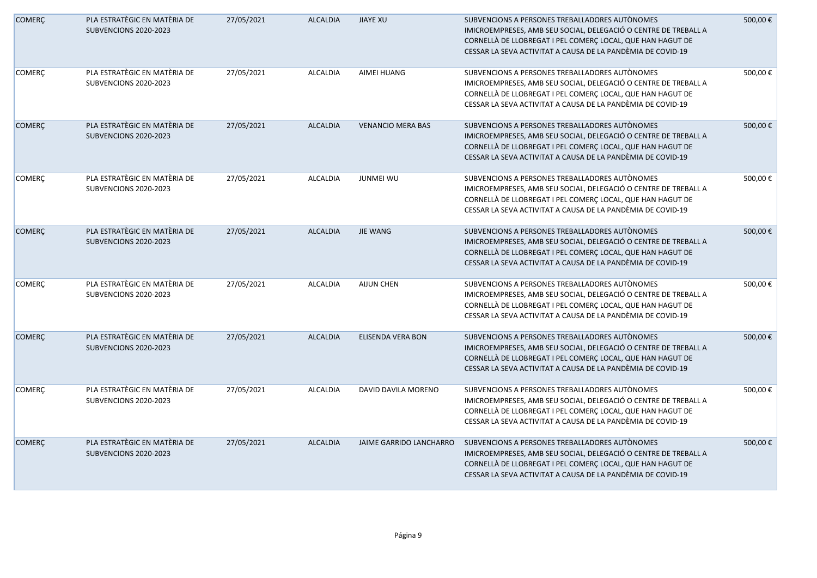| <b>COMERÇ</b> | PLA ESTRATÈGIC EN MATÈRIA DE<br>SUBVENCIONS 2020-2023 | 27/05/2021 | <b>ALCALDIA</b> | <b>JIAYE XU</b>          | SUBVENCIONS A PERSONES TREBALLADORES AUTONOMES<br>IMICROEMPRESES, AMB SEU SOCIAL, DELEGACIÓ O CENTRE DE TREBALL A<br>CORNELLÀ DE LLOBREGAT I PEL COMERÇ LOCAL, QUE HAN HAGUT DE<br>CESSAR LA SEVA ACTIVITAT A CAUSA DE LA PANDÈMIA DE COVID-19 | 500,00€ |
|---------------|-------------------------------------------------------|------------|-----------------|--------------------------|------------------------------------------------------------------------------------------------------------------------------------------------------------------------------------------------------------------------------------------------|---------|
| <b>COMERÇ</b> | PLA ESTRATÈGIC EN MATÈRIA DE<br>SUBVENCIONS 2020-2023 | 27/05/2021 | <b>ALCALDIA</b> | AIMEI HUANG              | SUBVENCIONS A PERSONES TREBALLADORES AUTÒNOMES<br>IMICROEMPRESES, AMB SEU SOCIAL, DELEGACIÓ O CENTRE DE TREBALL A<br>CORNELLÀ DE LLOBREGAT I PEL COMERÇ LOCAL, QUE HAN HAGUT DE<br>CESSAR LA SEVA ACTIVITAT A CAUSA DE LA PANDÈMIA DE COVID-19 | 500,00€ |
| <b>COMERÇ</b> | PLA ESTRATÈGIC EN MATÈRIA DE<br>SUBVENCIONS 2020-2023 | 27/05/2021 | <b>ALCALDIA</b> | <b>VENANCIO MERA BAS</b> | SUBVENCIONS A PERSONES TREBALLADORES AUTÒNOMES<br>IMICROEMPRESES, AMB SEU SOCIAL, DELEGACIÓ O CENTRE DE TREBALL A<br>CORNELLÀ DE LLOBREGAT I PEL COMERÇ LOCAL, QUE HAN HAGUT DE<br>CESSAR LA SEVA ACTIVITAT A CAUSA DE LA PANDÈMIA DE COVID-19 | 500,00€ |
| <b>COMERÇ</b> | PLA ESTRATÈGIC EN MATÈRIA DE<br>SUBVENCIONS 2020-2023 | 27/05/2021 | <b>ALCALDIA</b> | <b>JUNMEI WU</b>         | SUBVENCIONS A PERSONES TREBALLADORES AUTÒNOMES<br>IMICROEMPRESES, AMB SEU SOCIAL, DELEGACIÓ O CENTRE DE TREBALL A<br>CORNELLÀ DE LLOBREGAT I PEL COMERÇ LOCAL, QUE HAN HAGUT DE<br>CESSAR LA SEVA ACTIVITAT A CAUSA DE LA PANDÈMIA DE COVID-19 | 500,00€ |
| <b>COMERÇ</b> | PLA ESTRATÈGIC EN MATÈRIA DE<br>SUBVENCIONS 2020-2023 | 27/05/2021 | <b>ALCALDIA</b> | <b>JIE WANG</b>          | SUBVENCIONS A PERSONES TREBALLADORES AUTÒNOMES<br>IMICROEMPRESES, AMB SEU SOCIAL, DELEGACIÓ O CENTRE DE TREBALL A<br>CORNELLÀ DE LLOBREGAT I PEL COMERÇ LOCAL, QUE HAN HAGUT DE<br>CESSAR LA SEVA ACTIVITAT A CAUSA DE LA PANDÈMIA DE COVID-19 | 500,00€ |
| COMERÇ        | PLA ESTRATÈGIC EN MATÈRIA DE<br>SUBVENCIONS 2020-2023 | 27/05/2021 | <b>ALCALDIA</b> | <b>AIJUN CHEN</b>        | SUBVENCIONS A PERSONES TREBALLADORES AUTÒNOMES<br>IMICROEMPRESES, AMB SEU SOCIAL, DELEGACIÓ O CENTRE DE TREBALL A<br>CORNELLÀ DE LLOBREGAT I PEL COMERÇ LOCAL, QUE HAN HAGUT DE<br>CESSAR LA SEVA ACTIVITAT A CAUSA DE LA PANDÈMIA DE COVID-19 | 500,00€ |
| <b>COMERÇ</b> | PLA ESTRATÈGIC EN MATÈRIA DE<br>SUBVENCIONS 2020-2023 | 27/05/2021 | <b>ALCALDIA</b> | <b>ELISENDA VERA BON</b> | SUBVENCIONS A PERSONES TREBALLADORES AUTÒNOMES<br>IMICROEMPRESES, AMB SEU SOCIAL, DELEGACIÓ O CENTRE DE TREBALL A<br>CORNELLÀ DE LLOBREGAT I PEL COMERÇ LOCAL, QUE HAN HAGUT DE<br>CESSAR LA SEVA ACTIVITAT A CAUSA DE LA PANDÈMIA DE COVID-19 | 500,00€ |
| COMERÇ        | PLA ESTRATÈGIC EN MATÈRIA DE<br>SUBVENCIONS 2020-2023 | 27/05/2021 | <b>ALCALDIA</b> | DAVID DAVILA MORENO      | SUBVENCIONS A PERSONES TREBALLADORES AUTÒNOMES<br>IMICROEMPRESES, AMB SEU SOCIAL, DELEGACIÓ O CENTRE DE TREBALL A<br>CORNELLÀ DE LLOBREGAT I PEL COMERÇ LOCAL, QUE HAN HAGUT DE<br>CESSAR LA SEVA ACTIVITAT A CAUSA DE LA PANDÈMIA DE COVID-19 | 500,00€ |
| <b>COMERÇ</b> | PLA ESTRATÈGIC EN MATÈRIA DE<br>SUBVENCIONS 2020-2023 | 27/05/2021 | <b>ALCALDIA</b> | JAIME GARRIDO LANCHARRO  | SUBVENCIONS A PERSONES TREBALLADORES AUTONOMES<br>IMICROEMPRESES, AMB SEU SOCIAL, DELEGACIÓ O CENTRE DE TREBALL A<br>CORNELLÀ DE LLOBREGAT I PEL COMERÇ LOCAL, QUE HAN HAGUT DE<br>CESSAR LA SEVA ACTIVITAT A CAUSA DE LA PANDÈMIA DE COVID-19 | 500,00€ |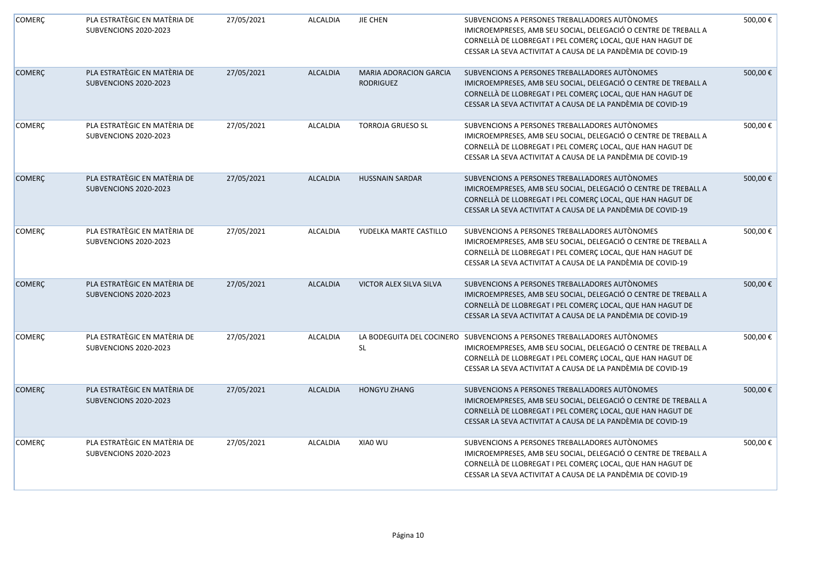| <b>COMERÇ</b> | PLA ESTRATÈGIC EN MATÈRIA DE<br>SUBVENCIONS 2020-2023 | 27/05/2021 | <b>ALCALDIA</b> | JIE CHEN                                   | SUBVENCIONS A PERSONES TREBALLADORES AUTÒNOMES<br>IMICROEMPRESES, AMB SEU SOCIAL, DELEGACIÓ O CENTRE DE TREBALL A<br>CORNELLÀ DE LLOBREGAT I PEL COMERÇ LOCAL, QUE HAN HAGUT DE<br>CESSAR LA SEVA ACTIVITAT A CAUSA DE LA PANDÈMIA DE COVID-19                           | 500,00€ |
|---------------|-------------------------------------------------------|------------|-----------------|--------------------------------------------|--------------------------------------------------------------------------------------------------------------------------------------------------------------------------------------------------------------------------------------------------------------------------|---------|
| <b>COMERÇ</b> | PLA ESTRATÈGIC EN MATÈRIA DE<br>SUBVENCIONS 2020-2023 | 27/05/2021 | <b>ALCALDIA</b> | MARIA ADORACION GARCIA<br><b>RODRIGUEZ</b> | SUBVENCIONS A PERSONES TREBALLADORES AUTÒNOMES<br>IMICROEMPRESES, AMB SEU SOCIAL, DELEGACIÓ O CENTRE DE TREBALL A<br>CORNELLÀ DE LLOBREGAT I PEL COMERÇ LOCAL, QUE HAN HAGUT DE<br>CESSAR LA SEVA ACTIVITAT A CAUSA DE LA PANDÈMIA DE COVID-19                           | 500,00€ |
| COMERÇ        | PLA ESTRATÈGIC EN MATÈRIA DE<br>SUBVENCIONS 2020-2023 | 27/05/2021 | <b>ALCALDIA</b> | <b>TORROJA GRUESO SL</b>                   | SUBVENCIONS A PERSONES TREBALLADORES AUTÒNOMES<br>IMICROEMPRESES, AMB SEU SOCIAL, DELEGACIÓ O CENTRE DE TREBALL A<br>CORNELLÀ DE LLOBREGAT I PEL COMERÇ LOCAL, QUE HAN HAGUT DE<br>CESSAR LA SEVA ACTIVITAT A CAUSA DE LA PANDÈMIA DE COVID-19                           | 500,00€ |
| <b>COMERÇ</b> | PLA ESTRATÈGIC EN MATÈRIA DE<br>SUBVENCIONS 2020-2023 | 27/05/2021 | <b>ALCALDIA</b> | <b>HUSSNAIN SARDAR</b>                     | SUBVENCIONS A PERSONES TREBALLADORES AUTÒNOMES<br>IMICROEMPRESES, AMB SEU SOCIAL, DELEGACIÓ O CENTRE DE TREBALL A<br>CORNELLÀ DE LLOBREGAT I PEL COMERÇ LOCAL, QUE HAN HAGUT DE<br>CESSAR LA SEVA ACTIVITAT A CAUSA DE LA PANDÈMIA DE COVID-19                           | 500,00€ |
| <b>COMERÇ</b> | PLA ESTRATÈGIC EN MATÈRIA DE<br>SUBVENCIONS 2020-2023 | 27/05/2021 | <b>ALCALDIA</b> | YUDELKA MARTE CASTILLO                     | SUBVENCIONS A PERSONES TREBALLADORES AUTÒNOMES<br>IMICROEMPRESES, AMB SEU SOCIAL, DELEGACIÓ O CENTRE DE TREBALL A<br>CORNELLÀ DE LLOBREGAT I PEL COMERÇ LOCAL, QUE HAN HAGUT DE<br>CESSAR LA SEVA ACTIVITAT A CAUSA DE LA PANDÈMIA DE COVID-19                           | 500,00€ |
| <b>COMERÇ</b> | PLA ESTRATÈGIC EN MATÈRIA DE<br>SUBVENCIONS 2020-2023 | 27/05/2021 | <b>ALCALDIA</b> | VICTOR ALEX SILVA SILVA                    | SUBVENCIONS A PERSONES TREBALLADORES AUTÒNOMES<br>IMICROEMPRESES, AMB SEU SOCIAL, DELEGACIÓ O CENTRE DE TREBALL A<br>CORNELLÀ DE LLOBREGAT I PEL COMERÇ LOCAL, QUE HAN HAGUT DE<br>CESSAR LA SEVA ACTIVITAT A CAUSA DE LA PANDÈMIA DE COVID-19                           | 500,00€ |
| COMERÇ        | PLA ESTRATÈGIC EN MATÈRIA DE<br>SUBVENCIONS 2020-2023 | 27/05/2021 | <b>ALCALDIA</b> | <b>SL</b>                                  | LA BODEGUITA DEL COCINERO SUBVENCIONS A PERSONES TREBALLADORES AUTÒNOMES<br>IMICROEMPRESES, AMB SEU SOCIAL, DELEGACIÓ O CENTRE DE TREBALL A<br>CORNELLÀ DE LLOBREGAT I PEL COMERÇ LOCAL, QUE HAN HAGUT DE<br>CESSAR LA SEVA ACTIVITAT A CAUSA DE LA PANDÈMIA DE COVID-19 | 500,00€ |
| <b>COMERÇ</b> | PLA ESTRATÈGIC EN MATÈRIA DE<br>SUBVENCIONS 2020-2023 | 27/05/2021 | <b>ALCALDIA</b> | <b>HONGYU ZHANG</b>                        | SUBVENCIONS A PERSONES TREBALLADORES AUTÒNOMES<br>IMICROEMPRESES, AMB SEU SOCIAL, DELEGACIÓ O CENTRE DE TREBALL A<br>CORNELLÀ DE LLOBREGAT I PEL COMERÇ LOCAL, QUE HAN HAGUT DE<br>CESSAR LA SEVA ACTIVITAT A CAUSA DE LA PANDÈMIA DE COVID-19                           | 500,00€ |
| COMERÇ        | PLA ESTRATÈGIC EN MATÈRIA DE<br>SUBVENCIONS 2020-2023 | 27/05/2021 | <b>ALCALDIA</b> | XIA0 WU                                    | SUBVENCIONS A PERSONES TREBALLADORES AUTÒNOMES<br>IMICROEMPRESES, AMB SEU SOCIAL, DELEGACIÓ O CENTRE DE TREBALL A<br>CORNELLÀ DE LLOBREGAT I PEL COMERÇ LOCAL, QUE HAN HAGUT DE<br>CESSAR LA SEVA ACTIVITAT A CAUSA DE LA PANDÈMIA DE COVID-19                           | 500,00€ |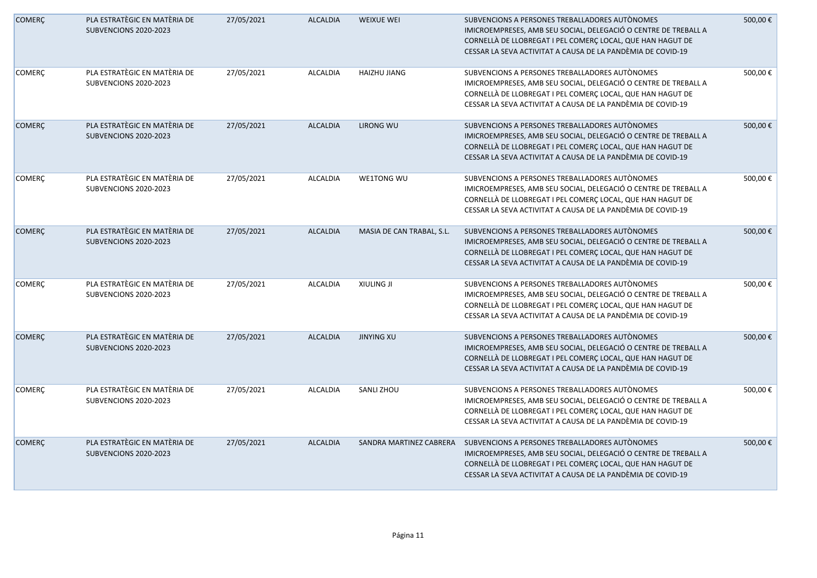| <b>COMERÇ</b> | PLA ESTRATÈGIC EN MATÈRIA DE<br>SUBVENCIONS 2020-2023 | 27/05/2021 | <b>ALCALDIA</b> | <b>WEIXUE WEI</b>         | SUBVENCIONS A PERSONES TREBALLADORES AUTÒNOMES<br>IMICROEMPRESES, AMB SEU SOCIAL, DELEGACIÓ O CENTRE DE TREBALL A<br>CORNELLÀ DE LLOBREGAT I PEL COMERÇ LOCAL, QUE HAN HAGUT DE<br>CESSAR LA SEVA ACTIVITAT A CAUSA DE LA PANDÈMIA DE COVID-19 | 500,00€ |
|---------------|-------------------------------------------------------|------------|-----------------|---------------------------|------------------------------------------------------------------------------------------------------------------------------------------------------------------------------------------------------------------------------------------------|---------|
| <b>COMERÇ</b> | PLA ESTRATÈGIC EN MATÈRIA DE<br>SUBVENCIONS 2020-2023 | 27/05/2021 | <b>ALCALDIA</b> | HAIZHU JIANG              | SUBVENCIONS A PERSONES TREBALLADORES AUTONOMES<br>IMICROEMPRESES, AMB SEU SOCIAL, DELEGACIÓ O CENTRE DE TREBALL A<br>CORNELLÀ DE LLOBREGAT I PEL COMERÇ LOCAL, QUE HAN HAGUT DE<br>CESSAR LA SEVA ACTIVITAT A CAUSA DE LA PANDÈMIA DE COVID-19 | 500,00€ |
| <b>COMERÇ</b> | PLA ESTRATÈGIC EN MATÈRIA DE<br>SUBVENCIONS 2020-2023 | 27/05/2021 | <b>ALCALDIA</b> | LIRONG WU                 | SUBVENCIONS A PERSONES TREBALLADORES AUTÒNOMES<br>IMICROEMPRESES, AMB SEU SOCIAL, DELEGACIÓ O CENTRE DE TREBALL A<br>CORNELLÀ DE LLOBREGAT I PEL COMERÇ LOCAL, QUE HAN HAGUT DE<br>CESSAR LA SEVA ACTIVITAT A CAUSA DE LA PANDÈMIA DE COVID-19 | 500,00€ |
| <b>COMERÇ</b> | PLA ESTRATÈGIC EN MATÈRIA DE<br>SUBVENCIONS 2020-2023 | 27/05/2021 | <b>ALCALDIA</b> | WE1TONG WU                | SUBVENCIONS A PERSONES TREBALLADORES AUTÒNOMES<br>IMICROEMPRESES, AMB SEU SOCIAL, DELEGACIÓ O CENTRE DE TREBALL A<br>CORNELLÀ DE LLOBREGAT I PEL COMERÇ LOCAL, QUE HAN HAGUT DE<br>CESSAR LA SEVA ACTIVITAT A CAUSA DE LA PANDÈMIA DE COVID-19 | 500,00€ |
| <b>COMERÇ</b> | PLA ESTRATÈGIC EN MATÈRIA DE<br>SUBVENCIONS 2020-2023 | 27/05/2021 | <b>ALCALDIA</b> | MASIA DE CAN TRABAL, S.L. | SUBVENCIONS A PERSONES TREBALLADORES AUTÒNOMES<br>IMICROEMPRESES, AMB SEU SOCIAL, DELEGACIÓ O CENTRE DE TREBALL A<br>CORNELLÀ DE LLOBREGAT I PEL COMERÇ LOCAL, QUE HAN HAGUT DE<br>CESSAR LA SEVA ACTIVITAT A CAUSA DE LA PANDÈMIA DE COVID-19 | 500,00€ |
| COMERÇ        | PLA ESTRATÈGIC EN MATÈRIA DE<br>SUBVENCIONS 2020-2023 | 27/05/2021 | <b>ALCALDIA</b> | <b>XIULING JI</b>         | SUBVENCIONS A PERSONES TREBALLADORES AUTONOMES<br>IMICROEMPRESES, AMB SEU SOCIAL, DELEGACIÓ O CENTRE DE TREBALL A<br>CORNELLÀ DE LLOBREGAT I PEL COMERÇ LOCAL, QUE HAN HAGUT DE<br>CESSAR LA SEVA ACTIVITAT A CAUSA DE LA PANDÈMIA DE COVID-19 | 500,00€ |
| <b>COMERÇ</b> | PLA ESTRATÈGIC EN MATÈRIA DE<br>SUBVENCIONS 2020-2023 | 27/05/2021 | <b>ALCALDIA</b> | <b>JINYING XU</b>         | SUBVENCIONS A PERSONES TREBALLADORES AUTÒNOMES<br>IMICROEMPRESES, AMB SEU SOCIAL, DELEGACIÓ O CENTRE DE TREBALL A<br>CORNELLÀ DE LLOBREGAT I PEL COMERÇ LOCAL, QUE HAN HAGUT DE<br>CESSAR LA SEVA ACTIVITAT A CAUSA DE LA PANDÈMIA DE COVID-19 | 500,00€ |
| <b>COMERÇ</b> | PLA ESTRATÈGIC EN MATÈRIA DE<br>SUBVENCIONS 2020-2023 | 27/05/2021 | <b>ALCALDIA</b> | SANLI ZHOU                | SUBVENCIONS A PERSONES TREBALLADORES AUTÒNOMES<br>IMICROEMPRESES, AMB SEU SOCIAL, DELEGACIÓ O CENTRE DE TREBALL A<br>CORNELLÀ DE LLOBREGAT I PEL COMERÇ LOCAL, QUE HAN HAGUT DE<br>CESSAR LA SEVA ACTIVITAT A CAUSA DE LA PANDÈMIA DE COVID-19 | 500,00€ |
| <b>COMERÇ</b> | PLA ESTRATÈGIC EN MATÈRIA DE<br>SUBVENCIONS 2020-2023 | 27/05/2021 | <b>ALCALDIA</b> | SANDRA MARTINEZ CABRERA   | SUBVENCIONS A PERSONES TREBALLADORES AUTÒNOMES<br>IMICROEMPRESES, AMB SEU SOCIAL, DELEGACIÓ O CENTRE DE TREBALL A<br>CORNELLÀ DE LLOBREGAT I PEL COMERÇ LOCAL, QUE HAN HAGUT DE<br>CESSAR LA SEVA ACTIVITAT A CAUSA DE LA PANDÈMIA DE COVID-19 | 500,00€ |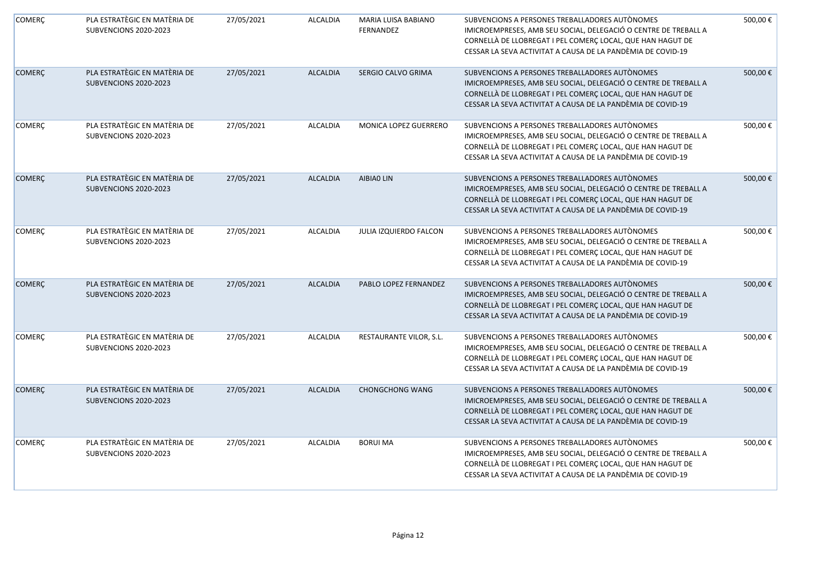| <b>COMERÇ</b> | PLA ESTRATÈGIC EN MATÈRIA DE<br>SUBVENCIONS 2020-2023 | 27/05/2021 | <b>ALCALDIA</b> | MARIA LUISA BABIANO<br><b>FERNANDEZ</b> | SUBVENCIONS A PERSONES TREBALLADORES AUTÒNOMES<br>IMICROEMPRESES, AMB SEU SOCIAL, DELEGACIÓ O CENTRE DE TREBALL A<br>CORNELLÀ DE LLOBREGAT I PEL COMERÇ LOCAL, QUE HAN HAGUT DE<br>CESSAR LA SEVA ACTIVITAT A CAUSA DE LA PANDÈMIA DE COVID-19 | 500,00€ |
|---------------|-------------------------------------------------------|------------|-----------------|-----------------------------------------|------------------------------------------------------------------------------------------------------------------------------------------------------------------------------------------------------------------------------------------------|---------|
| <b>COMERÇ</b> | PLA ESTRATÈGIC EN MATÈRIA DE<br>SUBVENCIONS 2020-2023 | 27/05/2021 | <b>ALCALDIA</b> | SERGIO CALVO GRIMA                      | SUBVENCIONS A PERSONES TREBALLADORES AUTÒNOMES<br>IMICROEMPRESES, AMB SEU SOCIAL, DELEGACIÓ O CENTRE DE TREBALL A<br>CORNELLÀ DE LLOBREGAT I PEL COMERÇ LOCAL, QUE HAN HAGUT DE<br>CESSAR LA SEVA ACTIVITAT A CAUSA DE LA PANDÈMIA DE COVID-19 | 500,00€ |
| <b>COMERÇ</b> | PLA ESTRATÈGIC EN MATÈRIA DE<br>SUBVENCIONS 2020-2023 | 27/05/2021 | <b>ALCALDIA</b> | MONICA LOPEZ GUERRERO                   | SUBVENCIONS A PERSONES TREBALLADORES AUTÒNOMES<br>IMICROEMPRESES, AMB SEU SOCIAL, DELEGACIÓ O CENTRE DE TREBALL A<br>CORNELLÀ DE LLOBREGAT I PEL COMERÇ LOCAL, QUE HAN HAGUT DE<br>CESSAR LA SEVA ACTIVITAT A CAUSA DE LA PANDÈMIA DE COVID-19 | 500,00€ |
| <b>COMERÇ</b> | PLA ESTRATÈGIC EN MATÈRIA DE<br>SUBVENCIONS 2020-2023 | 27/05/2021 | <b>ALCALDIA</b> | AIBIAO LIN                              | SUBVENCIONS A PERSONES TREBALLADORES AUTÒNOMES<br>IMICROEMPRESES, AMB SEU SOCIAL, DELEGACIÓ O CENTRE DE TREBALL A<br>CORNELLÀ DE LLOBREGAT I PEL COMERÇ LOCAL, QUE HAN HAGUT DE<br>CESSAR LA SEVA ACTIVITAT A CAUSA DE LA PANDÈMIA DE COVID-19 | 500,00€ |
| COMERÇ        | PLA ESTRATÈGIC EN MATÈRIA DE<br>SUBVENCIONS 2020-2023 | 27/05/2021 | <b>ALCALDIA</b> | JULIA IZQUIERDO FALCON                  | SUBVENCIONS A PERSONES TREBALLADORES AUTÒNOMES<br>IMICROEMPRESES, AMB SEU SOCIAL, DELEGACIÓ O CENTRE DE TREBALL A<br>CORNELLÀ DE LLOBREGAT I PEL COMERÇ LOCAL, QUE HAN HAGUT DE<br>CESSAR LA SEVA ACTIVITAT A CAUSA DE LA PANDÈMIA DE COVID-19 | 500,00€ |
| <b>COMERC</b> | PLA ESTRATÈGIC EN MATÈRIA DE<br>SUBVENCIONS 2020-2023 | 27/05/2021 | <b>ALCALDIA</b> | PABLO LOPEZ FERNANDEZ                   | SUBVENCIONS A PERSONES TREBALLADORES AUTÒNOMES<br>IMICROEMPRESES, AMB SEU SOCIAL, DELEGACIÓ O CENTRE DE TREBALL A<br>CORNELLÀ DE LLOBREGAT I PEL COMERÇ LOCAL, QUE HAN HAGUT DE<br>CESSAR LA SEVA ACTIVITAT A CAUSA DE LA PANDÈMIA DE COVID-19 | 500,00€ |
| COMERÇ        | PLA ESTRATÈGIC EN MATÈRIA DE<br>SUBVENCIONS 2020-2023 | 27/05/2021 | <b>ALCALDIA</b> | RESTAURANTE VILOR, S.L.                 | SUBVENCIONS A PERSONES TREBALLADORES AUTONOMES<br>IMICROEMPRESES, AMB SEU SOCIAL, DELEGACIÓ O CENTRE DE TREBALL A<br>CORNELLÀ DE LLOBREGAT I PEL COMERÇ LOCAL, QUE HAN HAGUT DE<br>CESSAR LA SEVA ACTIVITAT A CAUSA DE LA PANDÈMIA DE COVID-19 | 500,00€ |
| <b>COMERÇ</b> | PLA ESTRATÈGIC EN MATÈRIA DE<br>SUBVENCIONS 2020-2023 | 27/05/2021 | <b>ALCALDIA</b> | <b>CHONGCHONG WANG</b>                  | SUBVENCIONS A PERSONES TREBALLADORES AUTÒNOMES<br>IMICROEMPRESES, AMB SEU SOCIAL, DELEGACIÓ O CENTRE DE TREBALL A<br>CORNELLÀ DE LLOBREGAT I PEL COMERÇ LOCAL, QUE HAN HAGUT DE<br>CESSAR LA SEVA ACTIVITAT A CAUSA DE LA PANDÈMIA DE COVID-19 | 500,00€ |
| COMERÇ        | PLA ESTRATÈGIC EN MATÈRIA DE<br>SUBVENCIONS 2020-2023 | 27/05/2021 | <b>ALCALDIA</b> | <b>BORUI MA</b>                         | SUBVENCIONS A PERSONES TREBALLADORES AUTÒNOMES<br>IMICROEMPRESES, AMB SEU SOCIAL, DELEGACIÓ O CENTRE DE TREBALL A<br>CORNELLÀ DE LLOBREGAT I PEL COMERÇ LOCAL, QUE HAN HAGUT DE<br>CESSAR LA SEVA ACTIVITAT A CAUSA DE LA PANDÈMIA DE COVID-19 | 500,00€ |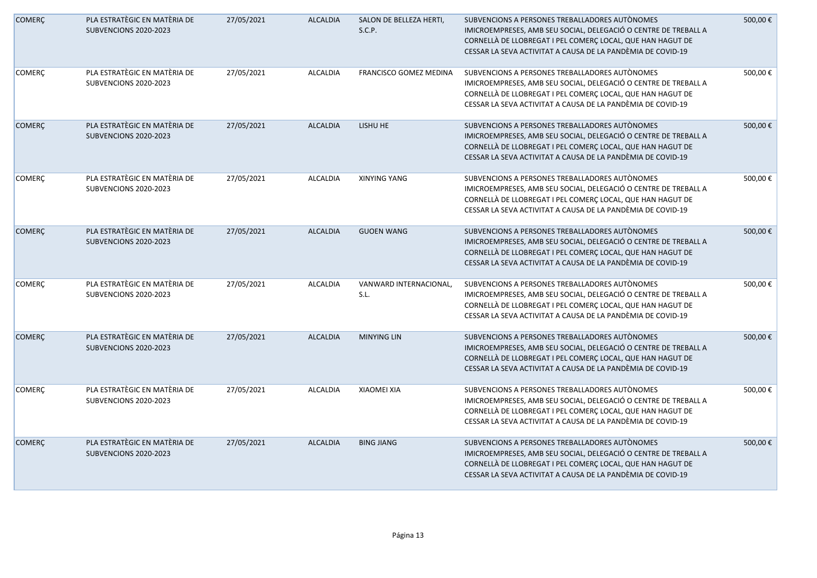| <b>COMERÇ</b> | PLA ESTRATÈGIC EN MATÈRIA DE<br>SUBVENCIONS 2020-2023 | 27/05/2021 | <b>ALCALDIA</b> | SALON DE BELLEZA HERTI,<br>S.C.P. | SUBVENCIONS A PERSONES TREBALLADORES AUTONOMES<br>IMICROEMPRESES, AMB SEU SOCIAL, DELEGACIÓ O CENTRE DE TREBALL A<br>CORNELLÀ DE LLOBREGAT I PEL COMERÇ LOCAL, QUE HAN HAGUT DE<br>CESSAR LA SEVA ACTIVITAT A CAUSA DE LA PANDÈMIA DE COVID-19 | 500,00€ |
|---------------|-------------------------------------------------------|------------|-----------------|-----------------------------------|------------------------------------------------------------------------------------------------------------------------------------------------------------------------------------------------------------------------------------------------|---------|
| <b>COMERÇ</b> | PLA ESTRATÈGIC EN MATÈRIA DE<br>SUBVENCIONS 2020-2023 | 27/05/2021 | <b>ALCALDIA</b> | FRANCISCO GOMEZ MEDINA            | SUBVENCIONS A PERSONES TREBALLADORES AUTÒNOMES<br>IMICROEMPRESES, AMB SEU SOCIAL, DELEGACIÓ O CENTRE DE TREBALL A<br>CORNELLÀ DE LLOBREGAT I PEL COMERÇ LOCAL, QUE HAN HAGUT DE<br>CESSAR LA SEVA ACTIVITAT A CAUSA DE LA PANDÈMIA DE COVID-19 | 500,00€ |
| <b>COMERÇ</b> | PLA ESTRATÈGIC EN MATÈRIA DE<br>SUBVENCIONS 2020-2023 | 27/05/2021 | <b>ALCALDIA</b> | LISHU HE                          | SUBVENCIONS A PERSONES TREBALLADORES AUTÒNOMES<br>IMICROEMPRESES, AMB SEU SOCIAL, DELEGACIÓ O CENTRE DE TREBALL A<br>CORNELLÀ DE LLOBREGAT I PEL COMERÇ LOCAL, QUE HAN HAGUT DE<br>CESSAR LA SEVA ACTIVITAT A CAUSA DE LA PANDÈMIA DE COVID-19 | 500,00€ |
| COMERÇ        | PLA ESTRATÈGIC EN MATÈRIA DE<br>SUBVENCIONS 2020-2023 | 27/05/2021 | <b>ALCALDIA</b> | <b>XINYING YANG</b>               | SUBVENCIONS A PERSONES TREBALLADORES AUTÒNOMES<br>IMICROEMPRESES, AMB SEU SOCIAL, DELEGACIÓ O CENTRE DE TREBALL A<br>CORNELLÀ DE LLOBREGAT I PEL COMERÇ LOCAL, QUE HAN HAGUT DE<br>CESSAR LA SEVA ACTIVITAT A CAUSA DE LA PANDÈMIA DE COVID-19 | 500,00€ |
| <b>COMERÇ</b> | PLA ESTRATÈGIC EN MATÈRIA DE<br>SUBVENCIONS 2020-2023 | 27/05/2021 | <b>ALCALDIA</b> | <b>GUOEN WANG</b>                 | SUBVENCIONS A PERSONES TREBALLADORES AUTÒNOMES<br>IMICROEMPRESES, AMB SEU SOCIAL, DELEGACIÓ O CENTRE DE TREBALL A<br>CORNELLÀ DE LLOBREGAT I PEL COMERÇ LOCAL, QUE HAN HAGUT DE<br>CESSAR LA SEVA ACTIVITAT A CAUSA DE LA PANDÈMIA DE COVID-19 | 500,00€ |
| <b>COMERÇ</b> | PLA ESTRATÈGIC EN MATÈRIA DE<br>SUBVENCIONS 2020-2023 | 27/05/2021 | <b>ALCALDIA</b> | VANWARD INTERNACIONAL<br>S.L.     | SUBVENCIONS A PERSONES TREBALLADORES AUTÒNOMES<br>IMICROEMPRESES, AMB SEU SOCIAL, DELEGACIÓ O CENTRE DE TREBALL A<br>CORNELLÀ DE LLOBREGAT I PEL COMERÇ LOCAL, QUE HAN HAGUT DE<br>CESSAR LA SEVA ACTIVITAT A CAUSA DE LA PANDÈMIA DE COVID-19 | 500,00€ |
| <b>COMERÇ</b> | PLA ESTRATÈGIC EN MATÈRIA DE<br>SUBVENCIONS 2020-2023 | 27/05/2021 | <b>ALCALDIA</b> | <b>MINYING LIN</b>                | SUBVENCIONS A PERSONES TREBALLADORES AUTÒNOMES<br>IMICROEMPRESES, AMB SEU SOCIAL, DELEGACIÓ O CENTRE DE TREBALL A<br>CORNELLÀ DE LLOBREGAT I PEL COMERÇ LOCAL, QUE HAN HAGUT DE<br>CESSAR LA SEVA ACTIVITAT A CAUSA DE LA PANDÈMIA DE COVID-19 | 500,00€ |
| <b>COMERÇ</b> | PLA ESTRATÈGIC EN MATÈRIA DE<br>SUBVENCIONS 2020-2023 | 27/05/2021 | <b>ALCALDIA</b> | <b>XIAOMEI XIA</b>                | SUBVENCIONS A PERSONES TREBALLADORES AUTÒNOMES<br>IMICROEMPRESES, AMB SEU SOCIAL, DELEGACIÓ O CENTRE DE TREBALL A<br>CORNELLÀ DE LLOBREGAT I PEL COMERÇ LOCAL, QUE HAN HAGUT DE<br>CESSAR LA SEVA ACTIVITAT A CAUSA DE LA PANDÈMIA DE COVID-19 | 500,00€ |
| <b>COMERÇ</b> | PLA ESTRATÈGIC EN MATÈRIA DE<br>SUBVENCIONS 2020-2023 | 27/05/2021 | <b>ALCALDIA</b> | <b>BING JIANG</b>                 | SUBVENCIONS A PERSONES TREBALLADORES AUTONOMES<br>IMICROEMPRESES, AMB SEU SOCIAL, DELEGACIÓ O CENTRE DE TREBALL A<br>CORNELLÀ DE LLOBREGAT I PEL COMERÇ LOCAL, QUE HAN HAGUT DE<br>CESSAR LA SEVA ACTIVITAT A CAUSA DE LA PANDÈMIA DE COVID-19 | 500,00€ |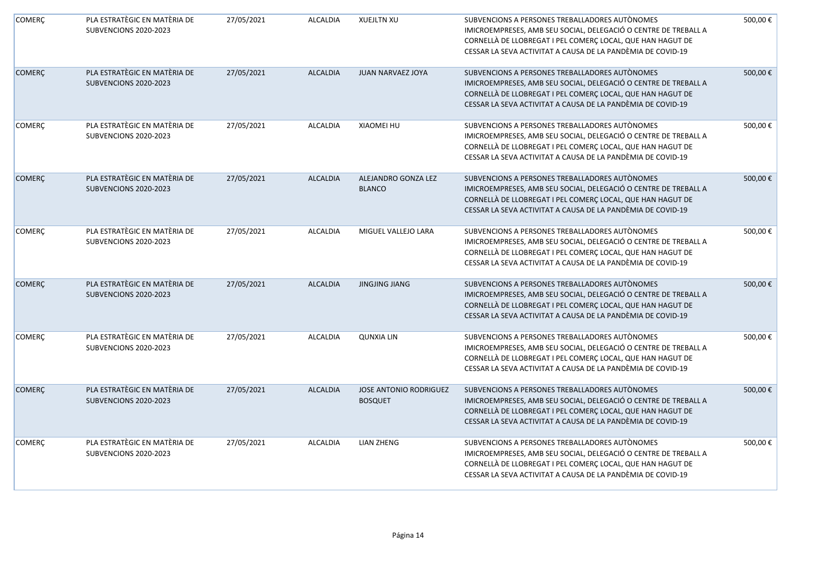| <b>COMERÇ</b> | PLA ESTRATÈGIC EN MATÈRIA DE<br>SUBVENCIONS 2020-2023 | 27/05/2021 | <b>ALCALDIA</b> | <b>XUEJLTN XU</b>                        | SUBVENCIONS A PERSONES TREBALLADORES AUTÒNOMES<br>IMICROEMPRESES, AMB SEU SOCIAL, DELEGACIÓ O CENTRE DE TREBALL A<br>CORNELLÀ DE LLOBREGAT I PEL COMERÇ LOCAL, QUE HAN HAGUT DE<br>CESSAR LA SEVA ACTIVITAT A CAUSA DE LA PANDÈMIA DE COVID-19 | 500,00€ |
|---------------|-------------------------------------------------------|------------|-----------------|------------------------------------------|------------------------------------------------------------------------------------------------------------------------------------------------------------------------------------------------------------------------------------------------|---------|
| <b>COMERÇ</b> | PLA ESTRATÈGIC EN MATÈRIA DE<br>SUBVENCIONS 2020-2023 | 27/05/2021 | <b>ALCALDIA</b> | JUAN NARVAEZ JOYA                        | SUBVENCIONS A PERSONES TREBALLADORES AUTÒNOMES<br>IMICROEMPRESES, AMB SEU SOCIAL, DELEGACIÓ O CENTRE DE TREBALL A<br>CORNELLÀ DE LLOBREGAT I PEL COMERÇ LOCAL, QUE HAN HAGUT DE<br>CESSAR LA SEVA ACTIVITAT A CAUSA DE LA PANDÈMIA DE COVID-19 | 500,00€ |
| COMERÇ        | PLA ESTRATÈGIC EN MATÈRIA DE<br>SUBVENCIONS 2020-2023 | 27/05/2021 | <b>ALCALDIA</b> | XIAOMEI HU                               | SUBVENCIONS A PERSONES TREBALLADORES AUTÒNOMES<br>IMICROEMPRESES, AMB SEU SOCIAL, DELEGACIÓ O CENTRE DE TREBALL A<br>CORNELLÀ DE LLOBREGAT I PEL COMERÇ LOCAL, QUE HAN HAGUT DE<br>CESSAR LA SEVA ACTIVITAT A CAUSA DE LA PANDÈMIA DE COVID-19 | 500,00€ |
| <b>COMERÇ</b> | PLA ESTRATÈGIC EN MATÈRIA DE<br>SUBVENCIONS 2020-2023 | 27/05/2021 | <b>ALCALDIA</b> | ALEJANDRO GONZA LEZ<br><b>BLANCO</b>     | SUBVENCIONS A PERSONES TREBALLADORES AUTÒNOMES<br>IMICROEMPRESES, AMB SEU SOCIAL, DELEGACIÓ O CENTRE DE TREBALL A<br>CORNELLÀ DE LLOBREGAT I PEL COMERÇ LOCAL, QUE HAN HAGUT DE<br>CESSAR LA SEVA ACTIVITAT A CAUSA DE LA PANDÈMIA DE COVID-19 | 500,00€ |
| COMERÇ        | PLA ESTRATÈGIC EN MATÈRIA DE<br>SUBVENCIONS 2020-2023 | 27/05/2021 | <b>ALCALDIA</b> | MIGUEL VALLEJO LARA                      | SUBVENCIONS A PERSONES TREBALLADORES AUTÒNOMES<br>IMICROEMPRESES, AMB SEU SOCIAL, DELEGACIÓ O CENTRE DE TREBALL A<br>CORNELLÀ DE LLOBREGAT I PEL COMERÇ LOCAL, QUE HAN HAGUT DE<br>CESSAR LA SEVA ACTIVITAT A CAUSA DE LA PANDÈMIA DE COVID-19 | 500,00€ |
| <b>COMERÇ</b> | PLA ESTRATÈGIC EN MATÈRIA DE<br>SUBVENCIONS 2020-2023 | 27/05/2021 | <b>ALCALDIA</b> | <b>JINGJING JIANG</b>                    | SUBVENCIONS A PERSONES TREBALLADORES AUTÒNOMES<br>IMICROEMPRESES, AMB SEU SOCIAL, DELEGACIÓ O CENTRE DE TREBALL A<br>CORNELLÀ DE LLOBREGAT I PEL COMERÇ LOCAL, QUE HAN HAGUT DE<br>CESSAR LA SEVA ACTIVITAT A CAUSA DE LA PANDÈMIA DE COVID-19 | 500,00€ |
| COMERÇ        | PLA ESTRATÈGIC EN MATÈRIA DE<br>SUBVENCIONS 2020-2023 | 27/05/2021 | <b>ALCALDIA</b> | <b>QUNXIA LIN</b>                        | SUBVENCIONS A PERSONES TREBALLADORES AUTÒNOMES<br>IMICROEMPRESES, AMB SEU SOCIAL, DELEGACIÓ O CENTRE DE TREBALL A<br>CORNELLÀ DE LLOBREGAT I PEL COMERÇ LOCAL, QUE HAN HAGUT DE<br>CESSAR LA SEVA ACTIVITAT A CAUSA DE LA PANDÈMIA DE COVID-19 | 500,00€ |
| <b>COMERÇ</b> | PLA ESTRATÈGIC EN MATÈRIA DE<br>SUBVENCIONS 2020-2023 | 27/05/2021 | <b>ALCALDIA</b> | JOSE ANTONIO RODRIGUEZ<br><b>BOSQUET</b> | SUBVENCIONS A PERSONES TREBALLADORES AUTÒNOMES<br>IMICROEMPRESES, AMB SEU SOCIAL, DELEGACIÓ O CENTRE DE TREBALL A<br>CORNELLÀ DE LLOBREGAT I PEL COMERÇ LOCAL, QUE HAN HAGUT DE<br>CESSAR LA SEVA ACTIVITAT A CAUSA DE LA PANDÈMIA DE COVID-19 | 500,00€ |
| COMERÇ        | PLA ESTRATÈGIC EN MATÈRIA DE<br>SUBVENCIONS 2020-2023 | 27/05/2021 | <b>ALCALDIA</b> | <b>LIAN ZHENG</b>                        | SUBVENCIONS A PERSONES TREBALLADORES AUTÒNOMES<br>IMICROEMPRESES, AMB SEU SOCIAL, DELEGACIÓ O CENTRE DE TREBALL A<br>CORNELLÀ DE LLOBREGAT I PEL COMERÇ LOCAL, QUE HAN HAGUT DE<br>CESSAR LA SEVA ACTIVITAT A CAUSA DE LA PANDÈMIA DE COVID-19 | 500,00€ |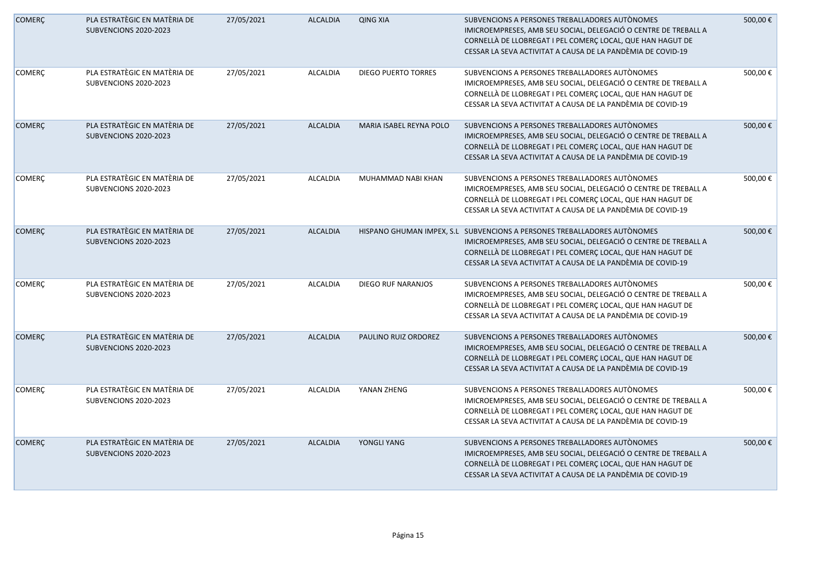| <b>COMERÇ</b> | PLA ESTRATÈGIC EN MATÈRIA DE<br>SUBVENCIONS 2020-2023 | 27/05/2021 | <b>ALCALDIA</b> | <b>QING XIA</b>                | SUBVENCIONS A PERSONES TREBALLADORES AUTONOMES<br>IMICROEMPRESES, AMB SEU SOCIAL, DELEGACIÓ O CENTRE DE TREBALL A<br>CORNELLÀ DE LLOBREGAT I PEL COMERÇ LOCAL, QUE HAN HAGUT DE<br>CESSAR LA SEVA ACTIVITAT A CAUSA DE LA PANDÈMIA DE COVID-19                           | 500,00€ |
|---------------|-------------------------------------------------------|------------|-----------------|--------------------------------|--------------------------------------------------------------------------------------------------------------------------------------------------------------------------------------------------------------------------------------------------------------------------|---------|
| <b>COMERÇ</b> | PLA ESTRATÈGIC EN MATÈRIA DE<br>SUBVENCIONS 2020-2023 | 27/05/2021 | <b>ALCALDIA</b> | <b>DIEGO PUERTO TORRES</b>     | SUBVENCIONS A PERSONES TREBALLADORES AUTÒNOMES<br>IMICROEMPRESES, AMB SEU SOCIAL, DELEGACIÓ O CENTRE DE TREBALL A<br>CORNELLÀ DE LLOBREGAT I PEL COMERÇ LOCAL, QUE HAN HAGUT DE<br>CESSAR LA SEVA ACTIVITAT A CAUSA DE LA PANDÈMIA DE COVID-19                           | 500,00€ |
| <b>COMERÇ</b> | PLA ESTRATÈGIC EN MATÈRIA DE<br>SUBVENCIONS 2020-2023 | 27/05/2021 | <b>ALCALDIA</b> | <b>MARIA ISABEL REYNA POLO</b> | SUBVENCIONS A PERSONES TREBALLADORES AUTÒNOMES<br>IMICROEMPRESES, AMB SEU SOCIAL, DELEGACIÓ O CENTRE DE TREBALL A<br>CORNELLÀ DE LLOBREGAT I PEL COMERÇ LOCAL, QUE HAN HAGUT DE<br>CESSAR LA SEVA ACTIVITAT A CAUSA DE LA PANDÈMIA DE COVID-19                           | 500,00€ |
| COMERÇ        | PLA ESTRATÈGIC EN MATÈRIA DE<br>SUBVENCIONS 2020-2023 | 27/05/2021 | <b>ALCALDIA</b> | MUHAMMAD NABI KHAN             | SUBVENCIONS A PERSONES TREBALLADORES AUTÒNOMES<br>IMICROEMPRESES, AMB SEU SOCIAL, DELEGACIÓ O CENTRE DE TREBALL A<br>CORNELLÀ DE LLOBREGAT I PEL COMERÇ LOCAL, QUE HAN HAGUT DE<br>CESSAR LA SEVA ACTIVITAT A CAUSA DE LA PANDÈMIA DE COVID-19                           | 500,00€ |
| <b>COMERÇ</b> | PLA ESTRATÈGIC EN MATÈRIA DE<br>SUBVENCIONS 2020-2023 | 27/05/2021 | <b>ALCALDIA</b> |                                | HISPANO GHUMAN IMPEX, S.L SUBVENCIONS A PERSONES TREBALLADORES AUTÒNOMES<br>IMICROEMPRESES, AMB SEU SOCIAL, DELEGACIÓ O CENTRE DE TREBALL A<br>CORNELLÀ DE LLOBREGAT I PEL COMERÇ LOCAL, QUE HAN HAGUT DE<br>CESSAR LA SEVA ACTIVITAT A CAUSA DE LA PANDÈMIA DE COVID-19 | 500,00€ |
| <b>COMERÇ</b> | PLA ESTRATÈGIC EN MATÈRIA DE<br>SUBVENCIONS 2020-2023 | 27/05/2021 | <b>ALCALDIA</b> | DIEGO RUF NARANJOS             | SUBVENCIONS A PERSONES TREBALLADORES AUTÒNOMES<br>IMICROEMPRESES, AMB SEU SOCIAL, DELEGACIÓ O CENTRE DE TREBALL A<br>CORNELLÀ DE LLOBREGAT I PEL COMERÇ LOCAL, QUE HAN HAGUT DE<br>CESSAR LA SEVA ACTIVITAT A CAUSA DE LA PANDÈMIA DE COVID-19                           | 500,00€ |
| <b>COMERÇ</b> | PLA ESTRATÈGIC EN MATÈRIA DE<br>SUBVENCIONS 2020-2023 | 27/05/2021 | <b>ALCALDIA</b> | PAULINO RUIZ ORDOREZ           | SUBVENCIONS A PERSONES TREBALLADORES AUTÒNOMES<br>IMICROEMPRESES, AMB SEU SOCIAL, DELEGACIÓ O CENTRE DE TREBALL A<br>CORNELLÀ DE LLOBREGAT I PEL COMERÇ LOCAL, QUE HAN HAGUT DE<br>CESSAR LA SEVA ACTIVITAT A CAUSA DE LA PANDÈMIA DE COVID-19                           | 500,00€ |
| <b>COMERÇ</b> | PLA ESTRATÈGIC EN MATÈRIA DE<br>SUBVENCIONS 2020-2023 | 27/05/2021 | <b>ALCALDIA</b> | YANAN ZHENG                    | SUBVENCIONS A PERSONES TREBALLADORES AUTÒNOMES<br>IMICROEMPRESES, AMB SEU SOCIAL, DELEGACIÓ O CENTRE DE TREBALL A<br>CORNELLÀ DE LLOBREGAT I PEL COMERÇ LOCAL, QUE HAN HAGUT DE<br>CESSAR LA SEVA ACTIVITAT A CAUSA DE LA PANDÈMIA DE COVID-19                           | 500,00€ |
| <b>COMERÇ</b> | PLA ESTRATÈGIC EN MATÈRIA DE<br>SUBVENCIONS 2020-2023 | 27/05/2021 | <b>ALCALDIA</b> | YONGLI YANG                    | SUBVENCIONS A PERSONES TREBALLADORES AUTONOMES<br>IMICROEMPRESES, AMB SEU SOCIAL, DELEGACIÓ O CENTRE DE TREBALL A<br>CORNELLÀ DE LLOBREGAT I PEL COMERÇ LOCAL, QUE HAN HAGUT DE<br>CESSAR LA SEVA ACTIVITAT A CAUSA DE LA PANDÈMIA DE COVID-19                           | 500,00€ |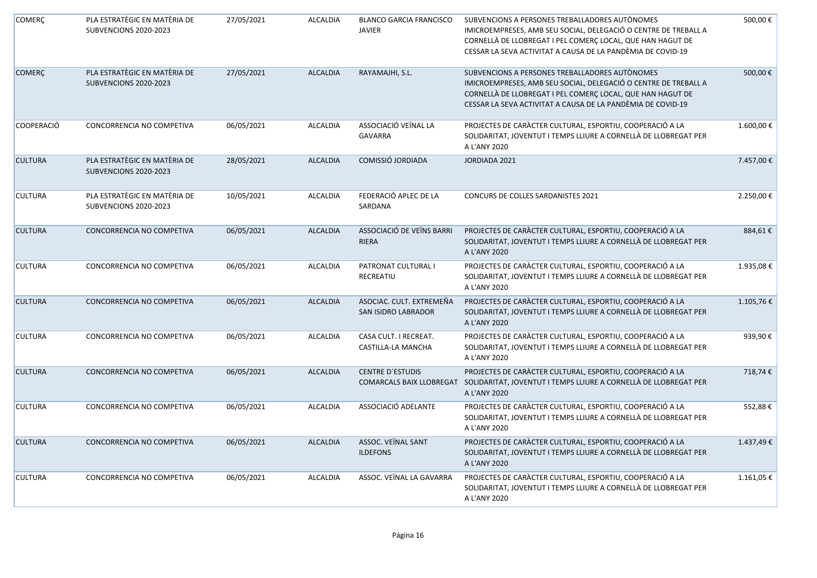| <b>COMERÇ</b>     | PLA ESTRATÈGIC EN MATÈRIA DE<br>SUBVENCIONS 2020-2023 | 27/05/2021 | <b>ALCALDIA</b> | <b>BLANCO GARCIA FRANCISCO</b><br><b>JAVIER</b>     | SUBVENCIONS A PERSONES TREBALLADORES AUTÒNOMES<br>IMICROEMPRESES, AMB SEU SOCIAL, DELEGACIÓ O CENTRE DE TREBALL A<br>CORNELLÀ DE LLOBREGAT I PEL COMERÇ LOCAL, QUE HAN HAGUT DE<br>CESSAR LA SEVA ACTIVITAT A CAUSA DE LA PANDÈMIA DE COVID-19 | 500,00€    |
|-------------------|-------------------------------------------------------|------------|-----------------|-----------------------------------------------------|------------------------------------------------------------------------------------------------------------------------------------------------------------------------------------------------------------------------------------------------|------------|
| <b>COMERÇ</b>     | PLA ESTRATÈGIC EN MATÈRIA DE<br>SUBVENCIONS 2020-2023 | 27/05/2021 | <b>ALCALDIA</b> | RAYAMAJHI, S.L.                                     | SUBVENCIONS A PERSONES TREBALLADORES AUTÒNOMES<br>IMICROEMPRESES, AMB SEU SOCIAL, DELEGACIÓ O CENTRE DE TREBALL A<br>CORNELLÀ DE LLOBREGAT I PEL COMERÇ LOCAL, QUE HAN HAGUT DE<br>CESSAR LA SEVA ACTIVITAT A CAUSA DE LA PANDÈMIA DE COVID-19 | 500,00€    |
| <b>COOPERACIÓ</b> | CONCORRENCIA NO COMPETIVA                             | 06/05/2021 | ALCALDIA        | ASSOCIACIÓ VEÏNAL LA<br><b>GAVARRA</b>              | PROJECTES DE CARÀCTER CULTURAL, ESPORTIU, COOPERACIÓ A LA<br>SOLIDARITAT, JOVENTUT I TEMPS LLIURE A CORNELLÀ DE LLOBREGAT PER<br>A L'ANY 2020                                                                                                  | 1.600,00€  |
| <b>CULTURA</b>    | PLA ESTRATÈGIC EN MATÈRIA DE<br>SUBVENCIONS 2020-2023 | 28/05/2021 | <b>ALCALDIA</b> | COMISSIÓ JORDIADA                                   | JORDIADA 2021                                                                                                                                                                                                                                  | 7.457,00 € |
| <b>CULTURA</b>    | PLA ESTRATÈGIC EN MATÈRIA DE<br>SUBVENCIONS 2020-2023 | 10/05/2021 | <b>ALCALDIA</b> | FEDERACIÓ APLEC DE LA<br>SARDANA                    | CONCURS DE COLLES SARDANISTES 2021                                                                                                                                                                                                             | 2.250,00€  |
| <b>CULTURA</b>    | CONCORRENCIA NO COMPETIVA                             | 06/05/2021 | <b>ALCALDIA</b> | ASSOCIACIÓ DE VEÏNS BARRI<br>RIERA                  | PROJECTES DE CARÀCTER CULTURAL, ESPORTIU, COOPERACIÓ A LA<br>SOLIDARITAT, JOVENTUT I TEMPS LLIURE A CORNELLÀ DE LLOBREGAT PER<br>A L'ANY 2020                                                                                                  | 884,61€    |
| <b>CULTURA</b>    | CONCORRENCIA NO COMPETIVA                             | 06/05/2021 | <b>ALCALDIA</b> | PATRONAT CULTURAL I<br>RECREATIU                    | PROJECTES DE CARÀCTER CULTURAL, ESPORTIU, COOPERACIÓ A LA<br>SOLIDARITAT, JOVENTUT I TEMPS LLIURE A CORNELLÀ DE LLOBREGAT PER<br>A L'ANY 2020                                                                                                  | 1.935,08€  |
| <b>CULTURA</b>    | CONCORRENCIA NO COMPETIVA                             | 06/05/2021 | <b>ALCALDIA</b> | ASOCIAC. CULT. EXTREMEÑA<br>SAN ISIDRO LABRADOR     | PROJECTES DE CARÀCTER CULTURAL, ESPORTIU, COOPERACIÓ A LA<br>SOLIDARITAT, JOVENTUT I TEMPS LLIURE A CORNELLÀ DE LLOBREGAT PER<br>A L'ANY 2020                                                                                                  | 1.105,76€  |
| <b>CULTURA</b>    | CONCORRENCIA NO COMPETIVA                             | 06/05/2021 | <b>ALCALDIA</b> | CASA CULT. I RECREAT.<br>CASTILLA-LA MANCHA         | PROJECTES DE CARÀCTER CULTURAL, ESPORTIU, COOPERACIÓ A LA<br>SOLIDARITAT, JOVENTUT I TEMPS LLIURE A CORNELLÀ DE LLOBREGAT PER<br>A L'ANY 2020                                                                                                  | 939,90€    |
| <b>CULTURA</b>    | CONCORRENCIA NO COMPETIVA                             | 06/05/2021 | <b>ALCALDIA</b> | <b>CENTRE D'ESTUDIS</b><br>COMARCALS BAIX LLOBREGAT | PROJECTES DE CARÀCTER CULTURAL, ESPORTIU, COOPERACIÓ A LA<br>SOLIDARITAT, JOVENTUT I TEMPS LLIURE A CORNELLÀ DE LLOBREGAT PER<br>A L'ANY 2020                                                                                                  | 718,74€    |
| <b>CULTURA</b>    | CONCORRENCIA NO COMPETIVA                             | 06/05/2021 | <b>ALCALDIA</b> | ASSOCIACIÓ ADELANTE                                 | PROJECTES DE CARÀCTER CULTURAL, ESPORTIU, COOPERACIÓ A LA<br>SOLIDARITAT, JOVENTUT I TEMPS LLIURE A CORNELLÀ DE LLOBREGAT PER<br>A L'ANY 2020                                                                                                  | 552,88€    |
| <b>CULTURA</b>    | CONCORRENCIA NO COMPETIVA                             | 06/05/2021 | <b>ALCALDIA</b> | ASSOC. VEÏNAL SANT<br><b>ILDEFONS</b>               | PROJECTES DE CARÀCTER CULTURAL, ESPORTIU, COOPERACIÓ A LA<br>SOLIDARITAT, JOVENTUT I TEMPS LLIURE A CORNELLÀ DE LLOBREGAT PER<br>A L'ANY 2020                                                                                                  | 1.437,49€  |
| <b>CULTURA</b>    | CONCORRENCIA NO COMPETIVA                             | 06/05/2021 | <b>ALCALDIA</b> | ASSOC. VEÏNAL LA GAVARRA                            | PROJECTES DE CARÀCTER CULTURAL, ESPORTIU, COOPERACIÓ A LA<br>SOLIDARITAT, JOVENTUT I TEMPS LLIURE A CORNELLÀ DE LLOBREGAT PER<br>A L'ANY 2020                                                                                                  | 1.161,05€  |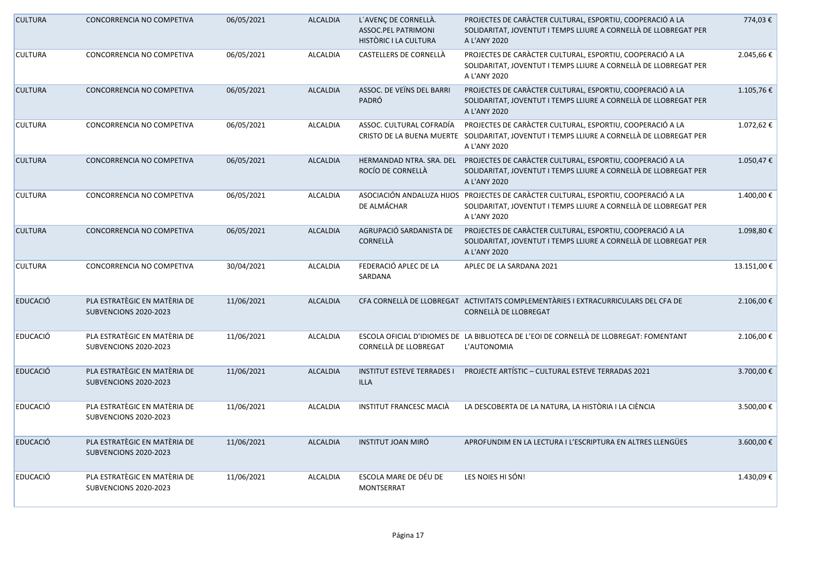| <b>CULTURA</b>  | CONCORRENCIA NO COMPETIVA                             | 06/05/2021 | <b>ALCALDIA</b> | L'AVENÇ DE CORNELLÀ.<br>ASSOC.PEL PATRIMONI<br>HISTÒRIC I LA CULTURA | PROJECTES DE CARÀCTER CULTURAL, ESPORTIU, COOPERACIÓ A LA<br>SOLIDARITAT, JOVENTUT I TEMPS LLIURE A CORNELLÀ DE LLOBREGAT PER<br>A L'ANY 2020                           | 774,03€    |
|-----------------|-------------------------------------------------------|------------|-----------------|----------------------------------------------------------------------|-------------------------------------------------------------------------------------------------------------------------------------------------------------------------|------------|
| <b>CULTURA</b>  | CONCORRENCIA NO COMPETIVA                             | 06/05/2021 | <b>ALCALDIA</b> | CASTELLERS DE CORNELLÀ                                               | PROJECTES DE CARÀCTER CULTURAL, ESPORTIU, COOPERACIÓ A LA<br>SOLIDARITAT, JOVENTUT I TEMPS LLIURE A CORNELLÀ DE LLOBREGAT PER<br>A L'ANY 2020                           | 2.045,66€  |
| <b>CULTURA</b>  | CONCORRENCIA NO COMPETIVA                             | 06/05/2021 | <b>ALCALDIA</b> | ASSOC. DE VEÏNS DEL BARRI<br>PADRÓ                                   | PROJECTES DE CARÀCTER CULTURAL, ESPORTIU, COOPERACIÓ A LA<br>SOLIDARITAT, JOVENTUT I TEMPS LLIURE A CORNELLÀ DE LLOBREGAT PER<br>A L'ANY 2020                           | 1.105,76€  |
| <b>CULTURA</b>  | CONCORRENCIA NO COMPETIVA                             | 06/05/2021 | <b>ALCALDIA</b> | ASSOC. CULTURAL COFRADÍA                                             | PROJECTES DE CARACTER CULTURAL, ESPORTIU, COOPERACIÓ A LA<br>CRISTO DE LA BUENA MUERTE SOLIDARITAT, JOVENTUT I TEMPS LLIURE A CORNELLÀ DE LLOBREGAT PER<br>A L'ANY 2020 | 1.072,62 € |
| <b>CULTURA</b>  | CONCORRENCIA NO COMPETIVA                             | 06/05/2021 | <b>ALCALDIA</b> | ROCÍO DE CORNELLÀ                                                    | HERMANDAD NTRA. SRA. DEL PROJECTES DE CARÀCTER CULTURAL, ESPORTIU, COOPERACIÓ A LA<br>SOLIDARITAT, JOVENTUT I TEMPS LLIURE A CORNELLÀ DE LLOBREGAT PER<br>A L'ANY 2020  | 1.050,47€  |
| <b>CULTURA</b>  | CONCORRENCIA NO COMPETIVA                             | 06/05/2021 | <b>ALCALDIA</b> | DE ALMÁCHAR                                                          | ASOCIACIÓN ANDALUZA HIJOS PROJECTES DE CARACTER CULTURAL, ESPORTIU, COOPERACIÓ A LA<br>SOLIDARITAT, JOVENTUT I TEMPS LLIURE A CORNELLÀ DE LLOBREGAT PER<br>A L'ANY 2020 | 1.400,00 € |
| <b>CULTURA</b>  | CONCORRENCIA NO COMPETIVA                             | 06/05/2021 | <b>ALCALDIA</b> | AGRUPACIÓ SARDANISTA DE<br><b>CORNELLÀ</b>                           | PROJECTES DE CARÀCTER CULTURAL, ESPORTIU, COOPERACIÓ A LA<br>SOLIDARITAT, JOVENTUT I TEMPS LLIURE A CORNELLÀ DE LLOBREGAT PER<br>A L'ANY 2020                           | 1.098,80€  |
| <b>CULTURA</b>  | CONCORRENCIA NO COMPETIVA                             | 30/04/2021 | <b>ALCALDIA</b> | FEDERACIÓ APLEC DE LA<br>SARDANA                                     | APLEC DE LA SARDANA 2021                                                                                                                                                | 13.151,00€ |
| <b>EDUCACIÓ</b> | PLA ESTRATÈGIC EN MATÈRIA DE<br>SUBVENCIONS 2020-2023 | 11/06/2021 | <b>ALCALDIA</b> |                                                                      | CFA CORNELLÀ DE LLOBREGAT ACTIVITATS COMPLEMENTÀRIES I EXTRACURRICULARS DEL CFA DE<br>CORNELLÀ DE LLOBREGAT                                                             | 2.106,00€  |
| <b>EDUCACIÓ</b> | PLA ESTRATÈGIC EN MATÈRIA DE<br>SUBVENCIONS 2020-2023 | 11/06/2021 | <b>ALCALDIA</b> | CORNELLÀ DE LLOBREGAT                                                | ESCOLA OFICIAL D'IDIOMES DE LA BIBLIOTECA DE L'EOI DE CORNELLÀ DE LLOBREGAT: FOMENTANT<br>L'AUTONOMIA                                                                   | 2.106,00€  |
| <b>EDUCACIÓ</b> | PLA ESTRATÈGIC EN MATÈRIA DE<br>SUBVENCIONS 2020-2023 | 11/06/2021 | <b>ALCALDIA</b> | <b>INSTITUT ESTEVE TERRADES I</b><br><b>ILLA</b>                     | PROJECTE ARTÍSTIC - CULTURAL ESTEVE TERRADAS 2021                                                                                                                       | 3.700,00€  |
| EDUCACIÓ        | PLA ESTRATÈGIC EN MATÈRIA DE<br>SUBVENCIONS 2020-2023 | 11/06/2021 | <b>ALCALDIA</b> | INSTITUT FRANCESC MACIA                                              | LA DESCOBERTA DE LA NATURA, LA HISTÒRIA I LA CIÈNCIA                                                                                                                    | 3.500,00€  |
| <b>EDUCACIÓ</b> | PLA ESTRATÈGIC EN MATÈRIA DE<br>SUBVENCIONS 2020-2023 | 11/06/2021 | <b>ALCALDIA</b> | <b>INSTITUT JOAN MIRÓ</b>                                            | APROFUNDIM EN LA LECTURA I L'ESCRIPTURA EN ALTRES LLENGÜES                                                                                                              | 3.600,00€  |
| <b>EDUCACIÓ</b> | PLA ESTRATÈGIC EN MATÈRIA DE<br>SUBVENCIONS 2020-2023 | 11/06/2021 | <b>ALCALDIA</b> | ESCOLA MARE DE DÉU DE<br><b>MONTSERRAT</b>                           | LES NOIES HI SÓN!                                                                                                                                                       | 1.430,09€  |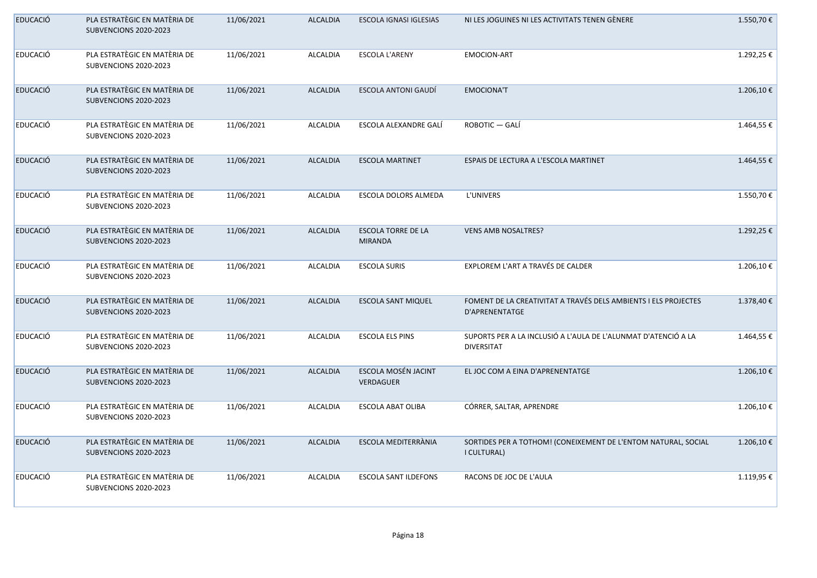| <b>EDUCACIÓ</b> | PLA ESTRATÈGIC EN MATÈRIA DE<br>SUBVENCIONS 2020-2023 | 11/06/2021 | <b>ALCALDIA</b> | ESCOLA IGNASI IGLESIAS                      | NI LES JOGUINES NI LES ACTIVITATS TENEN GÈNERE                                      | 1.550,70€  |
|-----------------|-------------------------------------------------------|------------|-----------------|---------------------------------------------|-------------------------------------------------------------------------------------|------------|
| <b>EDUCACIÓ</b> | PLA ESTRATÈGIC EN MATÈRIA DE<br>SUBVENCIONS 2020-2023 | 11/06/2021 | <b>ALCALDIA</b> | <b>ESCOLA L'ARENY</b>                       | <b>EMOCION-ART</b>                                                                  | 1.292,25€  |
| <b>EDUCACIÓ</b> | PLA ESTRATÈGIC EN MATÈRIA DE<br>SUBVENCIONS 2020-2023 | 11/06/2021 | <b>ALCALDIA</b> | <b>ESCOLA ANTONI GAUDÍ</b>                  | <b>EMOCIONA'T</b>                                                                   | 1.206,10€  |
| <b>EDUCACIÓ</b> | PLA ESTRATÈGIC EN MATÈRIA DE<br>SUBVENCIONS 2020-2023 | 11/06/2021 | <b>ALCALDIA</b> | ESCOLA ALEXANDRE GALÍ                       | ROBOTIC - GALÍ                                                                      | 1.464,55 € |
| <b>EDUCACIÓ</b> | PLA ESTRATÈGIC EN MATÈRIA DE<br>SUBVENCIONS 2020-2023 | 11/06/2021 | <b>ALCALDIA</b> | <b>ESCOLA MARTINET</b>                      | ESPAIS DE LECTURA A L'ESCOLA MARTINET                                               | 1.464,55 € |
| <b>EDUCACIÓ</b> | PLA ESTRATÈGIC EN MATÈRIA DE<br>SUBVENCIONS 2020-2023 | 11/06/2021 | <b>ALCALDIA</b> | ESCOLA DOLORS ALMEDA                        | L'UNIVERS                                                                           | 1.550,70€  |
| <b>EDUCACIÓ</b> | PLA ESTRATÈGIC EN MATÈRIA DE<br>SUBVENCIONS 2020-2023 | 11/06/2021 | <b>ALCALDIA</b> | <b>ESCOLA TORRE DE LA</b><br><b>MIRANDA</b> | <b>VENS AMB NOSALTRES?</b>                                                          | 1.292,25€  |
| <b>EDUCACIÓ</b> | PLA ESTRATÈGIC EN MATÈRIA DE<br>SUBVENCIONS 2020-2023 | 11/06/2021 | <b>ALCALDIA</b> | <b>ESCOLA SURIS</b>                         | EXPLOREM L'ART A TRAVÉS DE CALDER                                                   | 1.206,10€  |
| <b>EDUCACIÓ</b> | PLA ESTRATÈGIC EN MATÈRIA DE<br>SUBVENCIONS 2020-2023 | 11/06/2021 | <b>ALCALDIA</b> | <b>ESCOLA SANT MIQUEL</b>                   | FOMENT DE LA CREATIVITAT A TRAVÉS DELS AMBIENTS I ELS PROJECTES<br>D'APRENENTATGE   | 1.378,40€  |
| <b>EDUCACIÓ</b> | PLA ESTRATÈGIC EN MATÈRIA DE<br>SUBVENCIONS 2020-2023 | 11/06/2021 | <b>ALCALDIA</b> | <b>ESCOLA ELS PINS</b>                      | SUPORTS PER A LA INCLUSIÓ A L'AULA DE L'ALUNMAT D'ATENCIÓ A LA<br><b>DIVERSITAT</b> | 1.464,55€  |
| <b>EDUCACIÓ</b> | PLA ESTRATÈGIC EN MATÈRIA DE<br>SUBVENCIONS 2020-2023 | 11/06/2021 | <b>ALCALDIA</b> | ESCOLA MOSÉN JACINT<br>VERDAGUER            | EL JOC COM A EINA D'APRENENTATGE                                                    | 1.206,10€  |
| <b>EDUCACIÓ</b> | PLA ESTRATÈGIC EN MATÈRIA DE<br>SUBVENCIONS 2020-2023 | 11/06/2021 | <b>ALCALDIA</b> | <b>ESCOLA ABAT OLIBA</b>                    | CÓRRER, SALTAR, APRENDRE                                                            | 1.206,10€  |
| <b>EDUCACIÓ</b> | PLA ESTRATÈGIC EN MATÈRIA DE<br>SUBVENCIONS 2020-2023 | 11/06/2021 | <b>ALCALDIA</b> | ESCOLA MEDITERRÀNIA                         | SORTIDES PER A TOTHOM! (CONEIXEMENT DE L'ENTOM NATURAL, SOCIAL<br>I CULTURAL)       | 1.206,10€  |
| <b>EDUCACIÓ</b> | PLA ESTRATÈGIC EN MATÈRIA DE<br>SUBVENCIONS 2020-2023 | 11/06/2021 | <b>ALCALDIA</b> | <b>ESCOLA SANT ILDEFONS</b>                 | RACONS DE JOC DE L'AULA                                                             | 1.119,95€  |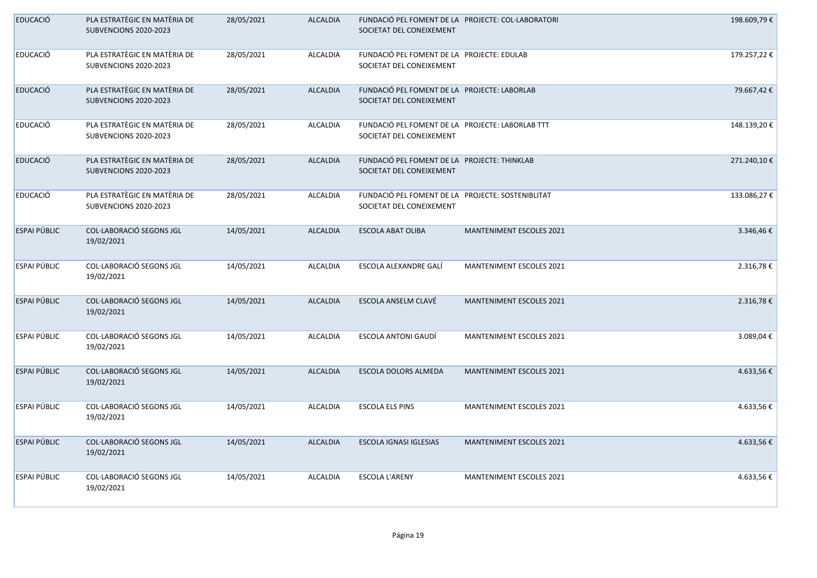| <b>EDUCACIÓ</b>     | PLA ESTRATÈGIC EN MATÈRIA DE<br>SUBVENCIONS 2020-2023 | 28/05/2021 | <b>ALCALDIA</b> | FUNDACIÓ PEL FOMENT DE LA PROJECTE: COL·LABORATORI<br>SOCIETAT DEL CONEIXEMENT |                                 | 198.609,79€ |
|---------------------|-------------------------------------------------------|------------|-----------------|--------------------------------------------------------------------------------|---------------------------------|-------------|
| <b>EDUCACIÓ</b>     | PLA ESTRATÈGIC EN MATÈRIA DE<br>SUBVENCIONS 2020-2023 | 28/05/2021 | <b>ALCALDIA</b> | FUNDACIÓ PEL FOMENT DE LA PROJECTE: EDULAB<br>SOCIETAT DEL CONEIXEMENT         |                                 | 179.257,22€ |
| <b>EDUCACIÓ</b>     | PLA ESTRATÈGIC EN MATÈRIA DE<br>SUBVENCIONS 2020-2023 | 28/05/2021 | <b>ALCALDIA</b> | FUNDACIÓ PEL FOMENT DE LA PROJECTE: LABORLAB<br>SOCIETAT DEL CONEIXEMENT       |                                 | 79.667,42€  |
| <b>EDUCACIÓ</b>     | PLA ESTRATÈGIC EN MATÈRIA DE<br>SUBVENCIONS 2020-2023 | 28/05/2021 | <b>ALCALDIA</b> | FUNDACIÓ PEL FOMENT DE LA PROJECTE: LABORLAB TTT<br>SOCIETAT DEL CONEIXEMENT   |                                 | 148.139,20€ |
| <b>EDUCACIÓ</b>     | PLA ESTRATÈGIC EN MATÈRIA DE<br>SUBVENCIONS 2020-2023 | 28/05/2021 | <b>ALCALDIA</b> | FUNDACIÓ PEL FOMENT DE LA PROJECTE: THINKLAB<br>SOCIETAT DEL CONEIXEMENT       |                                 | 271.240,10€ |
| <b>EDUCACIÓ</b>     | PLA ESTRATÈGIC EN MATÈRIA DE<br>SUBVENCIONS 2020-2023 | 28/05/2021 | <b>ALCALDIA</b> | FUNDACIÓ PEL FOMENT DE LA PROJECTE: SOSTENIBLITAT<br>SOCIETAT DEL CONEIXEMENT  |                                 | 133.086,27€ |
| ESPAI PÚBLIC        | COL·LABORACIÓ SEGONS JGL<br>19/02/2021                | 14/05/2021 | <b>ALCALDIA</b> | ESCOLA ABAT OLIBA                                                              | <b>MANTENIMENT ESCOLES 2021</b> | 3.346,46€   |
| ESPAI PÚBLIC        | COL·LABORACIÓ SEGONS JGL<br>19/02/2021                | 14/05/2021 | <b>ALCALDIA</b> | ESCOLA ALEXANDRE GALÍ                                                          | MANTENIMENT ESCOLES 2021        | 2.316,78€   |
| <b>ESPAI PÚBLIC</b> | COL·LABORACIÓ SEGONS JGL<br>19/02/2021                | 14/05/2021 | <b>ALCALDIA</b> | ESCOLA ANSELM CLAVÉ                                                            | <b>MANTENIMENT ESCOLES 2021</b> | 2.316,78€   |
| ESPAI PÚBLIC        | COL·LABORACIÓ SEGONS JGL<br>19/02/2021                | 14/05/2021 | <b>ALCALDIA</b> | ESCOLA ANTONI GAUDÍ                                                            | MANTENIMENT ESCOLES 2021        | 3.089,04€   |
| ESPAI PÚBLIC        | COL·LABORACIÓ SEGONS JGL<br>19/02/2021                | 14/05/2021 | <b>ALCALDIA</b> | ESCOLA DOLORS ALMEDA                                                           | <b>MANTENIMENT ESCOLES 2021</b> | 4.633,56€   |
| ESPAI PÚBLIC        | COL·LABORACIÓ SEGONS JGL<br>19/02/2021                | 14/05/2021 | <b>ALCALDIA</b> | <b>ESCOLA ELS PINS</b>                                                         | <b>MANTENIMENT ESCOLES 2021</b> | 4.633,56€   |
| ESPAI PÚBLIC        | COL·LABORACIÓ SEGONS JGL<br>19/02/2021                | 14/05/2021 | <b>ALCALDIA</b> | ESCOLA IGNASI IGLESIAS                                                         | <b>MANTENIMENT ESCOLES 2021</b> | 4.633,56€   |
| ESPAI PÚBLIC        | COL·LABORACIÓ SEGONS JGL<br>19/02/2021                | 14/05/2021 | <b>ALCALDIA</b> | <b>ESCOLA L'ARENY</b>                                                          | <b>MANTENIMENT ESCOLES 2021</b> | 4.633,56€   |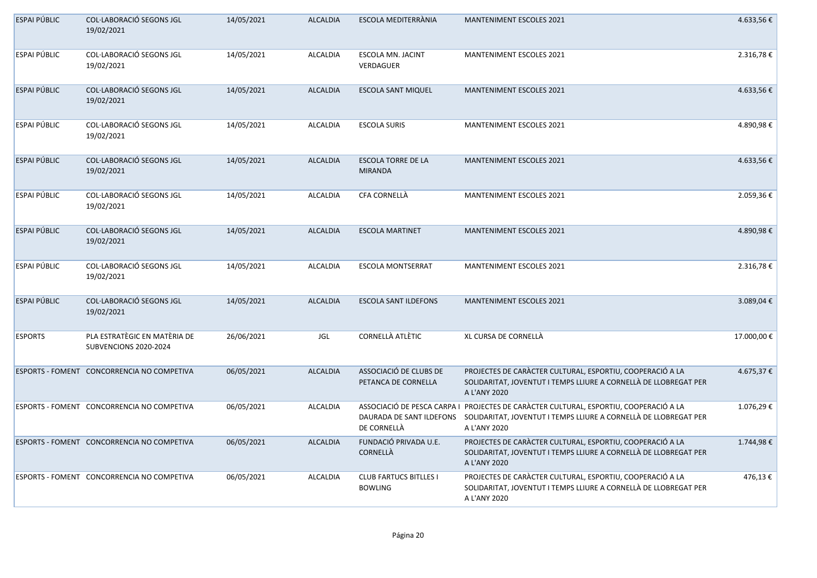| ESPAI PÚBLIC        | <b>COL·LABORACIÓ SEGONS JGL</b><br>19/02/2021         | 14/05/2021 | <b>ALCALDIA</b> | ESCOLA MEDITERRÀNIA                             | <b>MANTENIMENT ESCOLES 2021</b>                                                                                                                                                                     | 4.633,56€  |
|---------------------|-------------------------------------------------------|------------|-----------------|-------------------------------------------------|-----------------------------------------------------------------------------------------------------------------------------------------------------------------------------------------------------|------------|
| ESPAI PÚBLIC        | <b>COL·LABORACIÓ SEGONS JGL</b><br>19/02/2021         | 14/05/2021 | <b>ALCALDIA</b> | <b>ESCOLA MN. JACINT</b><br>VERDAGUER           | <b>MANTENIMENT ESCOLES 2021</b>                                                                                                                                                                     | 2.316,78€  |
| ESPAI PÚBLIC        | COL·LABORACIÓ SEGONS JGL<br>19/02/2021                | 14/05/2021 | <b>ALCALDIA</b> | <b>ESCOLA SANT MIQUEL</b>                       | <b>MANTENIMENT ESCOLES 2021</b>                                                                                                                                                                     | 4.633,56€  |
| ESPAI PÚBLIC        | COL·LABORACIÓ SEGONS JGL<br>19/02/2021                | 14/05/2021 | <b>ALCALDIA</b> | <b>ESCOLA SURIS</b>                             | <b>MANTENIMENT ESCOLES 2021</b>                                                                                                                                                                     | 4.890,98€  |
| <b>ESPAI PÚBLIC</b> | COL·LABORACIÓ SEGONS JGL<br>19/02/2021                | 14/05/2021 | <b>ALCALDIA</b> | <b>ESCOLA TORRE DE LA</b><br><b>MIRANDA</b>     | <b>MANTENIMENT ESCOLES 2021</b>                                                                                                                                                                     | 4.633,56€  |
| ESPAI PÚBLIC        | COL·LABORACIÓ SEGONS JGL<br>19/02/2021                | 14/05/2021 | <b>ALCALDIA</b> | CFA CORNELLÀ                                    | <b>MANTENIMENT ESCOLES 2021</b>                                                                                                                                                                     | 2.059,36€  |
| ESPAI PÚBLIC        | COL·LABORACIÓ SEGONS JGL<br>19/02/2021                | 14/05/2021 | <b>ALCALDIA</b> | <b>ESCOLA MARTINET</b>                          | <b>MANTENIMENT ESCOLES 2021</b>                                                                                                                                                                     | 4.890,98€  |
| ESPAI PÚBLIC        | COL·LABORACIÓ SEGONS JGL<br>19/02/2021                | 14/05/2021 | <b>ALCALDIA</b> | <b>ESCOLA MONTSERRAT</b>                        | <b>MANTENIMENT ESCOLES 2021</b>                                                                                                                                                                     | 2.316,78€  |
| <b>ESPAI PÚBLIC</b> | COL·LABORACIÓ SEGONS JGL<br>19/02/2021                | 14/05/2021 | <b>ALCALDIA</b> | <b>ESCOLA SANT ILDEFONS</b>                     | <b>MANTENIMENT ESCOLES 2021</b>                                                                                                                                                                     | 3.089,04€  |
| <b>ESPORTS</b>      | PLA ESTRATÈGIC EN MATÈRIA DE<br>SUBVENCIONS 2020-2024 | 26/06/2021 | JGL             | <b>CORNELLÀ ATLÈTIC</b>                         | XL CURSA DE CORNELLÀ                                                                                                                                                                                | 17.000,00€ |
|                     | ESPORTS - FOMENT CONCORRENCIA NO COMPETIVA            | 06/05/2021 | <b>ALCALDIA</b> | ASSOCIACIÓ DE CLUBS DE<br>PETANCA DE CORNELLA   | PROJECTES DE CARÀCTER CULTURAL, ESPORTIU, COOPERACIÓ A LA<br>SOLIDARITAT, JOVENTUT I TEMPS LLIURE A CORNELLÀ DE LLOBREGAT PER<br>A L'ANY 2020                                                       | 4.675,37€  |
|                     | ESPORTS - FOMENT CONCORRENCIA NO COMPETIVA            | 06/05/2021 | <b>ALCALDIA</b> | DE CORNELLÀ                                     | ASSOCIACIÓ DE PESCA CARPA I  PROJECTES DE CARÀCTER CULTURAL, ESPORTIU, COOPERACIÓ A LA<br>DAURADA DE SANT ILDEFONS SOLIDARITAT, JOVENTUT I TEMPS LLIURE A CORNELLÀ DE LLOBREGAT PER<br>A L'ANY 2020 | 1.076,29€  |
|                     | ESPORTS - FOMENT CONCORRENCIA NO COMPETIVA            | 06/05/2021 | <b>ALCALDIA</b> | FUNDACIÓ PRIVADA U.E.<br>CORNELLÀ               | PROJECTES DE CARÀCTER CULTURAL, ESPORTIU, COOPERACIÓ A LA<br>SOLIDARITAT, JOVENTUT I TEMPS LLIURE A CORNELLÀ DE LLOBREGAT PER<br>A L'ANY 2020                                                       | 1.744,98€  |
|                     | ESPORTS - FOMENT CONCORRENCIA NO COMPETIVA            | 06/05/2021 | <b>ALCALDIA</b> | <b>CLUB FARTUCS BITLLES I</b><br><b>BOWLING</b> | PROJECTES DE CARÀCTER CULTURAL, ESPORTIU, COOPERACIÓ A LA<br>SOLIDARITAT, JOVENTUT I TEMPS LLIURE A CORNELLÀ DE LLOBREGAT PER<br>A L'ANY 2020                                                       | 476,13€    |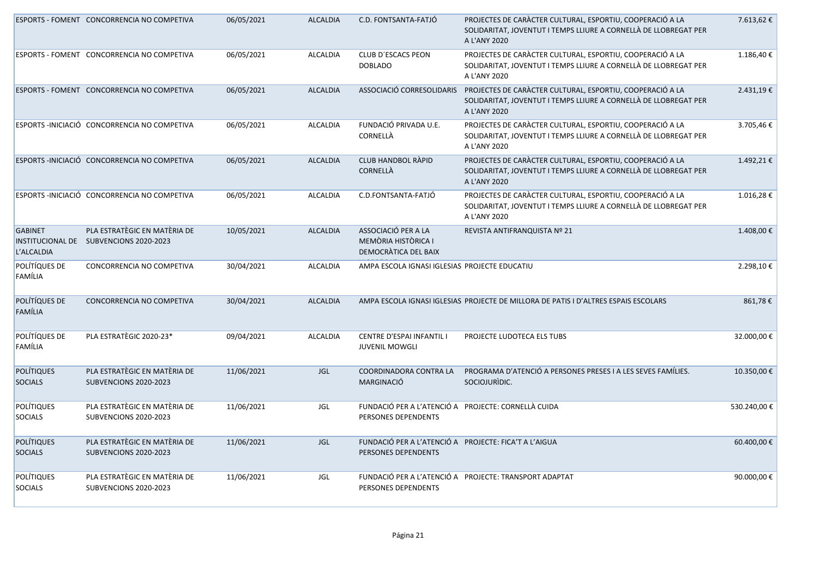|                                     | ESPORTS - FOMENT CONCORRENCIA NO COMPETIVA                             | 06/05/2021 | <b>ALCALDIA</b> | C.D. FONTSANTA-FATJÓ                                                         | PROJECTES DE CARÀCTER CULTURAL, ESPORTIU, COOPERACIÓ A LA<br>SOLIDARITAT, JOVENTUT I TEMPS LLIURE A CORNELLÀ DE LLOBREGAT PER<br>A L'ANY 2020 | 7.613,62€       |
|-------------------------------------|------------------------------------------------------------------------|------------|-----------------|------------------------------------------------------------------------------|-----------------------------------------------------------------------------------------------------------------------------------------------|-----------------|
|                                     | ESPORTS - FOMENT CONCORRENCIA NO COMPETIVA                             | 06/05/2021 | <b>ALCALDIA</b> | CLUB D'ESCACS PEON<br><b>DOBLADO</b>                                         | PROJECTES DE CARÀCTER CULTURAL, ESPORTIU, COOPERACIÓ A LA<br>SOLIDARITAT, JOVENTUT I TEMPS LLIURE A CORNELLÀ DE LLOBREGAT PER<br>A L'ANY 2020 | 1.186,40€       |
|                                     | ESPORTS - FOMENT CONCORRENCIA NO COMPETIVA                             | 06/05/2021 | <b>ALCALDIA</b> | ASSOCIACIÓ CORRESOLIDARIS                                                    | PROJECTES DE CARÀCTER CULTURAL, ESPORTIU, COOPERACIÓ A LA<br>SOLIDARITAT, JOVENTUT I TEMPS LLIURE A CORNELLÀ DE LLOBREGAT PER<br>A L'ANY 2020 | 2.431,19€       |
|                                     | ESPORTS - INICIACIÓ CONCORRENCIA NO COMPETIVA                          | 06/05/2021 | ALCALDIA        | FUNDACIÓ PRIVADA U.E.<br>CORNELLÀ                                            | PROJECTES DE CARÀCTER CULTURAL, ESPORTIU, COOPERACIÓ A LA<br>SOLIDARITAT, JOVENTUT I TEMPS LLIURE A CORNELLÀ DE LLOBREGAT PER<br>A L'ANY 2020 | 3.705,46€       |
|                                     | ESPORTS - INICIACIÓ CONCORRENCIA NO COMPETIVA                          | 06/05/2021 | <b>ALCALDIA</b> | <b>CLUB HANDBOL RÀPID</b><br>CORNELLÀ                                        | PROJECTES DE CARÀCTER CULTURAL, ESPORTIU, COOPERACIÓ A LA<br>SOLIDARITAT, JOVENTUT I TEMPS LLIURE A CORNELLÀ DE LLOBREGAT PER<br>A L'ANY 2020 | 1.492,21€       |
|                                     | ESPORTS - INICIACIÓ CONCORRENCIA NO COMPETIVA                          | 06/05/2021 | <b>ALCALDIA</b> | C.D.FONTSANTA-FATJÓ                                                          | PROJECTES DE CARÀCTER CULTURAL, ESPORTIU, COOPERACIÓ A LA<br>SOLIDARITAT, JOVENTUT I TEMPS LLIURE A CORNELLÀ DE LLOBREGAT PER<br>A L'ANY 2020 | 1.016,28€       |
| <b>GABINET</b><br>L'ALCALDIA        | PLA ESTRATÈGIC EN MATÈRIA DE<br>INSTITUCIONAL DE SUBVENCIONS 2020-2023 | 10/05/2021 | <b>ALCALDIA</b> | ASSOCIACIÓ PER A LA<br>MEMÒRIA HISTÒRICA I<br>DEMOCRATICA DEL BAIX           | REVISTA ANTIFRANQUISTA Nº 21                                                                                                                  | 1.408,00€       |
| POLÍTÍQUES DE<br>FAMÍLIA            | CONCORRENCIA NO COMPETIVA                                              | 30/04/2021 | <b>ALCALDIA</b> | AMPA ESCOLA IGNASI IGLESIAS PROJECTE EDUCATIU                                |                                                                                                                                               | 2.298,10€       |
| POLÍTÍQUES DE<br><b>FAMÍLIA</b>     | CONCORRENCIA NO COMPETIVA                                              | 30/04/2021 | <b>ALCALDIA</b> |                                                                              | AMPA ESCOLA IGNASI IGLESIAS PROJECTE DE MILLORA DE PATIS I D'ALTRES ESPAIS ESCOLARS                                                           | 861,78€         |
| POLÍTÍQUES DE<br>FAMÍLIA            | PLA ESTRATÈGIC 2020-23*                                                | 09/04/2021 | <b>ALCALDIA</b> | CENTRE D'ESPAI INFANTIL I<br><b>JUVENIL MOWGLI</b>                           | PROJECTE LUDOTECA ELS TUBS                                                                                                                    | 32.000,00€      |
| <b>POLÍTIQUES</b><br><b>SOCIALS</b> | PLA ESTRATÈGIC EN MATÈRIA DE<br>SUBVENCIONS 2020-2023                  | 11/06/2021 | <b>JGL</b>      | COORDINADORA CONTRA LA<br>MARGINACIÓ                                         | PROGRAMA D'ATENCIÓ A PERSONES PRESES I A LES SEVES FAMÍLIES.<br>SOCIOJURIDIC.                                                                 | 10.350,00€      |
| <b>POLÍTIQUES</b><br><b>SOCIALS</b> | PLA ESTRATÈGIC EN MATÈRIA DE<br>SUBVENCIONS 2020-2023                  | 11/06/2021 | JGL             | FUNDACIÓ PER A L'ATENCIÓ A PROJECTE: CORNELLÀ CUIDA<br>PERSONES DEPENDENTS   |                                                                                                                                               | 530.240,00€     |
| <b>POLÍTIQUES</b><br><b>SOCIALS</b> | PLA ESTRATÈGIC EN MATÈRIA DE<br>SUBVENCIONS 2020-2023                  | 11/06/2021 | <b>JGL</b>      | FUNDACIÓ PER A L'ATENCIÓ A PROJECTE: FICA'T A L'AIGUA<br>PERSONES DEPENDENTS |                                                                                                                                               | 60.400,00€      |
| <b>POLÍTIQUES</b><br><b>SOCIALS</b> | PLA ESTRATÈGIC EN MATÈRIA DE<br>SUBVENCIONS 2020-2023                  | 11/06/2021 | JGL             | PERSONES DEPENDENTS                                                          | FUNDACIÓ PER A L'ATENCIÓ A PROJECTE: TRANSPORT ADAPTAT                                                                                        | 90.000,00 $\in$ |